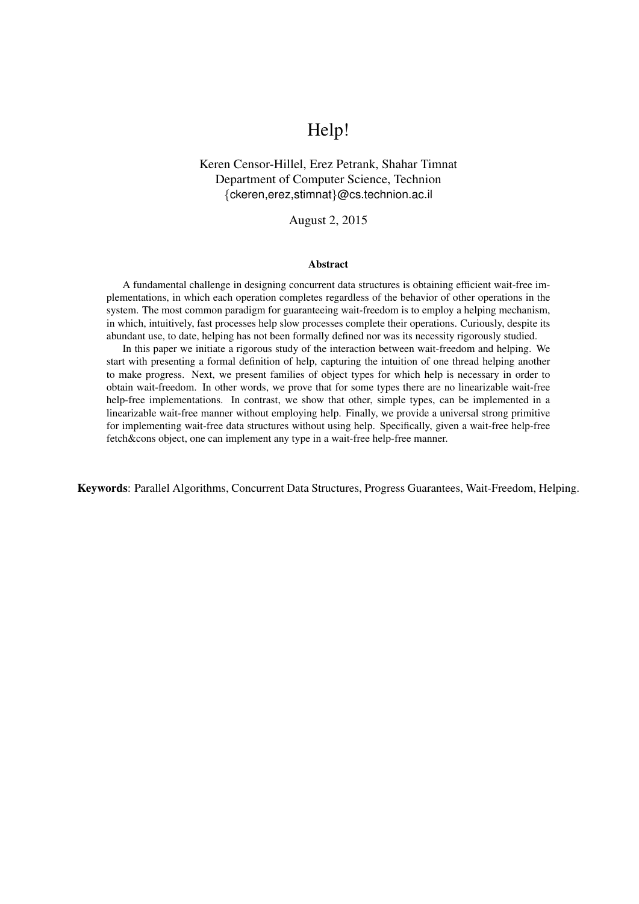# Help!

## Keren Censor-Hillel, Erez Petrank, Shahar Timnat Department of Computer Science, Technion *{*ckeren,erez,stimnat*}*@cs.technion.ac.il

## August 2, 2015

#### Abstract

A fundamental challenge in designing concurrent data structures is obtaining efficient wait-free implementations, in which each operation completes regardless of the behavior of other operations in the system. The most common paradigm for guaranteeing wait-freedom is to employ a helping mechanism, in which, intuitively, fast processes help slow processes complete their operations. Curiously, despite its abundant use, to date, helping has not been formally defined nor was its necessity rigorously studied.

In this paper we initiate a rigorous study of the interaction between wait-freedom and helping. We start with presenting a formal definition of help, capturing the intuition of one thread helping another to make progress. Next, we present families of object types for which help is necessary in order to obtain wait-freedom. In other words, we prove that for some types there are no linearizable wait-free help-free implementations. In contrast, we show that other, simple types, can be implemented in a linearizable wait-free manner without employing help. Finally, we provide a universal strong primitive for implementing wait-free data structures without using help. Specifically, given a wait-free help-free fetch&cons object, one can implement any type in a wait-free help-free manner.

Keywords: Parallel Algorithms, Concurrent Data Structures, Progress Guarantees, Wait-Freedom, Helping.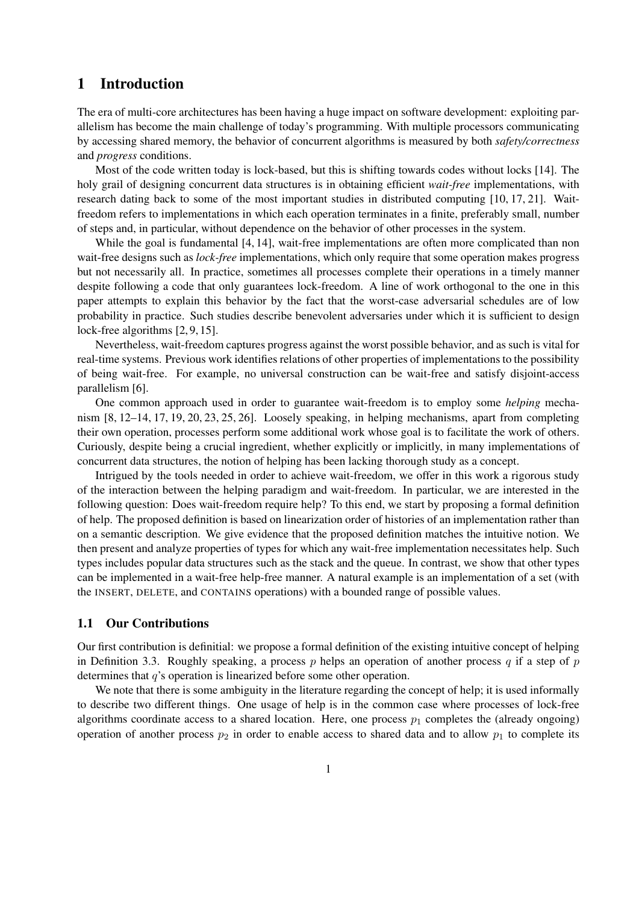## 1 Introduction

The era of multi-core architectures has been having a huge impact on software development: exploiting parallelism has become the main challenge of today's programming. With multiple processors communicating by accessing shared memory, the behavior of concurrent algorithms is measured by both *safety/correctness* and *progress* conditions.

Most of the code written today is lock-based, but this is shifting towards codes without locks [14]. The holy grail of designing concurrent data structures is in obtaining efficient *wait-free* implementations, with research dating back to some of the most important studies in distributed computing [10, 17, 21]. Waitfreedom refers to implementations in which each operation terminates in a finite, preferably small, number of steps and, in particular, without dependence on the behavior of other processes in the system.

While the goal is fundamental [4, 14], wait-free implementations are often more complicated than non wait-free designs such as *lock-free* implementations, which only require that some operation makes progress but not necessarily all. In practice, sometimes all processes complete their operations in a timely manner despite following a code that only guarantees lock-freedom. A line of work orthogonal to the one in this paper attempts to explain this behavior by the fact that the worst-case adversarial schedules are of low probability in practice. Such studies describe benevolent adversaries under which it is sufficient to design lock-free algorithms [2, 9, 15].

Nevertheless, wait-freedom captures progress against the worst possible behavior, and as such is vital for real-time systems. Previous work identifies relations of other properties of implementations to the possibility of being wait-free. For example, no universal construction can be wait-free and satisfy disjoint-access parallelism [6].

One common approach used in order to guarantee wait-freedom is to employ some *helping* mechanism [8, 12–14, 17, 19, 20, 23, 25, 26]. Loosely speaking, in helping mechanisms, apart from completing their own operation, processes perform some additional work whose goal is to facilitate the work of others. Curiously, despite being a crucial ingredient, whether explicitly or implicitly, in many implementations of concurrent data structures, the notion of helping has been lacking thorough study as a concept.

Intrigued by the tools needed in order to achieve wait-freedom, we offer in this work a rigorous study of the interaction between the helping paradigm and wait-freedom. In particular, we are interested in the following question: Does wait-freedom require help? To this end, we start by proposing a formal definition of help. The proposed definition is based on linearization order of histories of an implementation rather than on a semantic description. We give evidence that the proposed definition matches the intuitive notion. We then present and analyze properties of types for which any wait-free implementation necessitates help. Such types includes popular data structures such as the stack and the queue. In contrast, we show that other types can be implemented in a wait-free help-free manner. A natural example is an implementation of a set (with the INSERT, DELETE, and CONTAINS operations) with a bounded range of possible values.

## 1.1 Our Contributions

Our first contribution is definitial: we propose a formal definition of the existing intuitive concept of helping in Definition 3.3. Roughly speaking, a process *p* helps an operation of another process *q* if a step of *p* determines that *q*'s operation is linearized before some other operation.

We note that there is some ambiguity in the literature regarding the concept of help; it is used informally to describe two different things. One usage of help is in the common case where processes of lock-free algorithms coordinate access to a shared location. Here, one process  $p_1$  completes the (already ongoing) operation of another process  $p_2$  in order to enable access to shared data and to allow  $p_1$  to complete its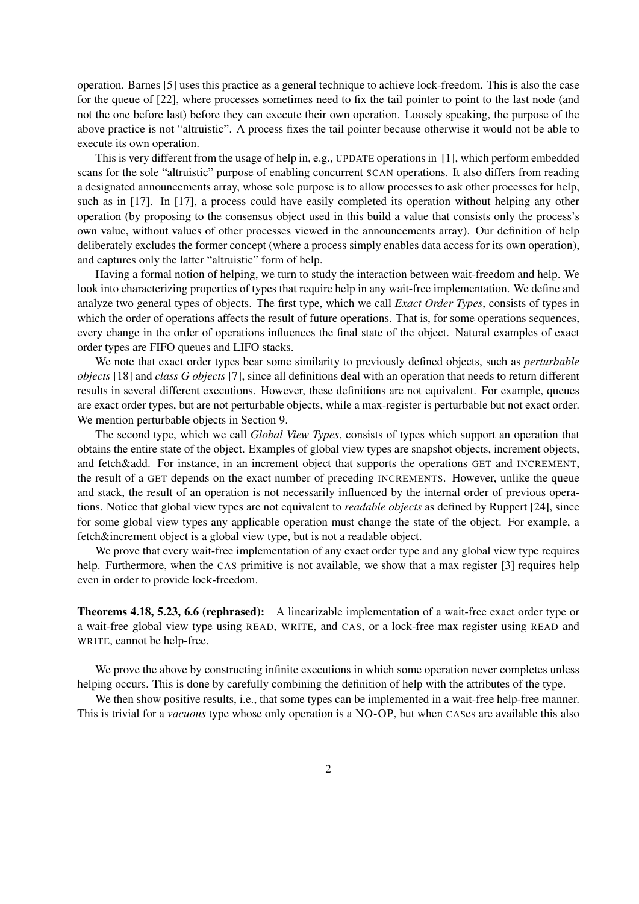operation. Barnes [5] uses this practice as a general technique to achieve lock-freedom. This is also the case for the queue of [22], where processes sometimes need to fix the tail pointer to point to the last node (and not the one before last) before they can execute their own operation. Loosely speaking, the purpose of the above practice is not "altruistic". A process fixes the tail pointer because otherwise it would not be able to execute its own operation.

This is very different from the usage of help in, e.g., UPDATE operations in [1], which perform embedded scans for the sole "altruistic" purpose of enabling concurrent SCAN operations. It also differs from reading a designated announcements array, whose sole purpose is to allow processes to ask other processes for help, such as in [17]. In [17], a process could have easily completed its operation without helping any other operation (by proposing to the consensus object used in this build a value that consists only the process's own value, without values of other processes viewed in the announcements array). Our definition of help deliberately excludes the former concept (where a process simply enables data access for its own operation), and captures only the latter "altruistic" form of help.

Having a formal notion of helping, we turn to study the interaction between wait-freedom and help. We look into characterizing properties of types that require help in any wait-free implementation. We define and analyze two general types of objects. The first type, which we call *Exact Order Types*, consists of types in which the order of operations affects the result of future operations. That is, for some operations sequences, every change in the order of operations influences the final state of the object. Natural examples of exact order types are FIFO queues and LIFO stacks.

We note that exact order types bear some similarity to previously defined objects, such as *perturbable objects* [18] and *class G objects* [7], since all definitions deal with an operation that needs to return different results in several different executions. However, these definitions are not equivalent. For example, queues are exact order types, but are not perturbable objects, while a max-register is perturbable but not exact order. We mention perturbable objects in Section 9.

The second type, which we call *Global View Types*, consists of types which support an operation that obtains the entire state of the object. Examples of global view types are snapshot objects, increment objects, and fetch&add. For instance, in an increment object that supports the operations GET and INCREMENT, the result of a GET depends on the exact number of preceding INCREMENTS. However, unlike the queue and stack, the result of an operation is not necessarily influenced by the internal order of previous operations. Notice that global view types are not equivalent to *readable objects* as defined by Ruppert [24], since for some global view types any applicable operation must change the state of the object. For example, a fetch&increment object is a global view type, but is not a readable object.

We prove that every wait-free implementation of any exact order type and any global view type requires help. Furthermore, when the CAS primitive is not available, we show that a max register [3] requires help even in order to provide lock-freedom.

Theorems 4.18, 5.23, 6.6 (rephrased): A linearizable implementation of a wait-free exact order type or a wait-free global view type using READ, WRITE, and CAS, or a lock-free max register using READ and WRITE, cannot be help-free.

We prove the above by constructing infinite executions in which some operation never completes unless helping occurs. This is done by carefully combining the definition of help with the attributes of the type.

We then show positive results, i.e., that some types can be implemented in a wait-free help-free manner. This is trivial for a *vacuous* type whose only operation is a NO-OP, but when CASes are available this also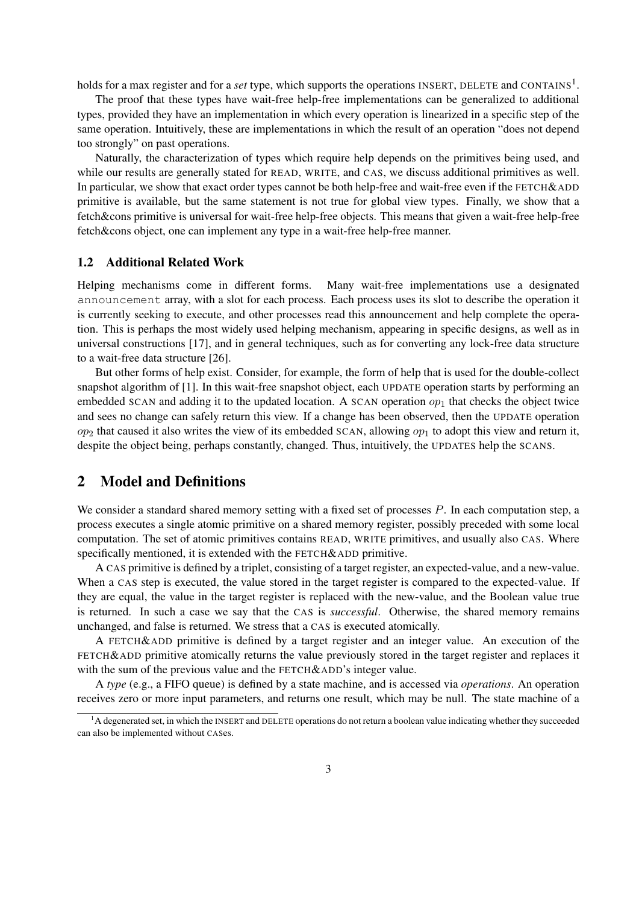holds for a max register and for a *set* type, which supports the operations INSERT, DELETE and CONTAINS<sup>1</sup>.

The proof that these types have wait-free help-free implementations can be generalized to additional types, provided they have an implementation in which every operation is linearized in a specific step of the same operation. Intuitively, these are implementations in which the result of an operation "does not depend too strongly" on past operations.

Naturally, the characterization of types which require help depends on the primitives being used, and while our results are generally stated for READ, WRITE, and CAS, we discuss additional primitives as well. In particular, we show that exact order types cannot be both help-free and wait-free even if the FETCH&ADD primitive is available, but the same statement is not true for global view types. Finally, we show that a fetch&cons primitive is universal for wait-free help-free objects. This means that given a wait-free help-free fetch&cons object, one can implement any type in a wait-free help-free manner.

#### 1.2 Additional Related Work

Helping mechanisms come in different forms. Many wait-free implementations use a designated announcement array, with a slot for each process. Each process uses its slot to describe the operation it is currently seeking to execute, and other processes read this announcement and help complete the operation. This is perhaps the most widely used helping mechanism, appearing in specific designs, as well as in universal constructions [17], and in general techniques, such as for converting any lock-free data structure to a wait-free data structure [26].

But other forms of help exist. Consider, for example, the form of help that is used for the double-collect snapshot algorithm of [1]. In this wait-free snapshot object, each UPDATE operation starts by performing an embedded SCAN and adding it to the updated location. A SCAN operation  $op_1$  that checks the object twice and sees no change can safely return this view. If a change has been observed, then the UPDATE operation *op*<sup>2</sup> that caused it also writes the view of its embedded SCAN, allowing *op*<sup>1</sup> to adopt this view and return it, despite the object being, perhaps constantly, changed. Thus, intuitively, the UPDATES help the SCANS.

## 2 Model and Definitions

We consider a standard shared memory setting with a fixed set of processes *P*. In each computation step, a process executes a single atomic primitive on a shared memory register, possibly preceded with some local computation. The set of atomic primitives contains READ, WRITE primitives, and usually also CAS. Where specifically mentioned, it is extended with the FETCH&ADD primitive.

A CAS primitive is defined by a triplet, consisting of a target register, an expected-value, and a new-value. When a CAS step is executed, the value stored in the target register is compared to the expected-value. If they are equal, the value in the target register is replaced with the new-value, and the Boolean value true is returned. In such a case we say that the CAS is *successful*. Otherwise, the shared memory remains unchanged, and false is returned. We stress that a CAS is executed atomically.

A FETCH&ADD primitive is defined by a target register and an integer value. An execution of the FETCH&ADD primitive atomically returns the value previously stored in the target register and replaces it with the sum of the previous value and the FETCH&ADD's integer value.

A *type* (e.g., a FIFO queue) is defined by a state machine, and is accessed via *operations*. An operation receives zero or more input parameters, and returns one result, which may be null. The state machine of a

 ${}^{1}$ A degenerated set, in which the INSERT and DELETE operations do not return a boolean value indicating whether they succeeded can also be implemented without CASes.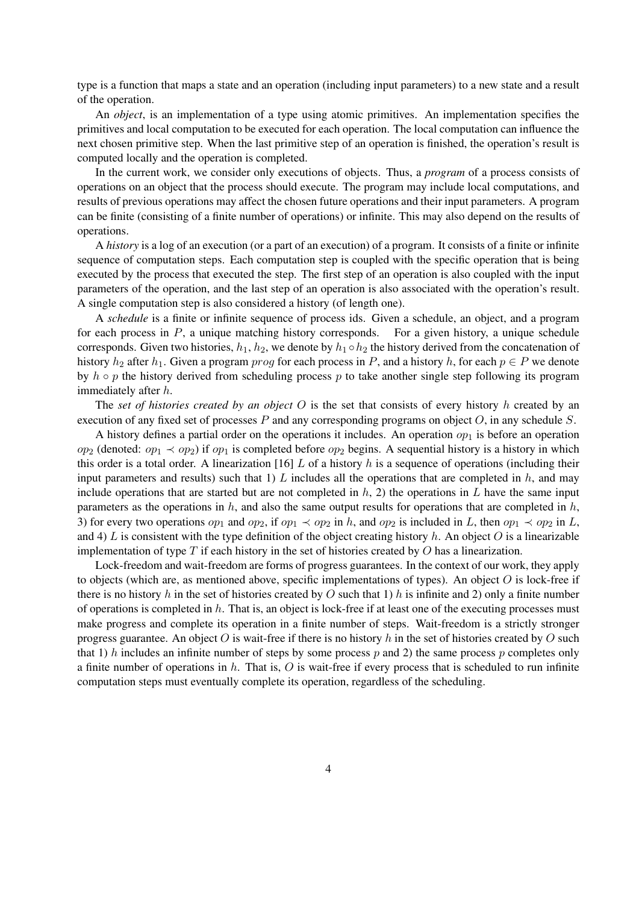type is a function that maps a state and an operation (including input parameters) to a new state and a result of the operation.

An *object*, is an implementation of a type using atomic primitives. An implementation specifies the primitives and local computation to be executed for each operation. The local computation can influence the next chosen primitive step. When the last primitive step of an operation is finished, the operation's result is computed locally and the operation is completed.

In the current work, we consider only executions of objects. Thus, a *program* of a process consists of operations on an object that the process should execute. The program may include local computations, and results of previous operations may affect the chosen future operations and their input parameters. A program can be finite (consisting of a finite number of operations) or infinite. This may also depend on the results of operations.

A *history* is a log of an execution (or a part of an execution) of a program. It consists of a finite or infinite sequence of computation steps. Each computation step is coupled with the specific operation that is being executed by the process that executed the step. The first step of an operation is also coupled with the input parameters of the operation, and the last step of an operation is also associated with the operation's result. A single computation step is also considered a history (of length one).

A *schedule* is a finite or infinite sequence of process ids. Given a schedule, an object, and a program for each process in *P*, a unique matching history corresponds. For a given history, a unique schedule corresponds. Given two histories,  $h_1$ ,  $h_2$ , we denote by  $h_1 \circ h_2$  the history derived from the concatenation of history  $h_2$  after  $h_1$ . Given a program *prog* for each process in *P*, and a history  $h$ , for each  $p \in P$  we denote by *h ◦ p* the history derived from scheduling process *p* to take another single step following its program immediately after *h*.

The *set of histories created by an object O* is the set that consists of every history *h* created by an execution of any fixed set of processes *P* and any corresponding programs on object *O*, in any schedule *S*.

A history defines a partial order on the operations it includes. An operation  $op<sub>1</sub>$  is before an operation *op*<sub>2</sub> (denoted:  $op_1 \prec op_2$ ) if  $op_1$  is completed before  $op_2$  begins. A sequential history is a history in which this order is a total order. A linearization [16] *L* of a history *h* is a sequence of operations (including their input parameters and results) such that 1)  $L$  includes all the operations that are completed in  $h$ , and may include operations that are started but are not completed in *h*, 2) the operations in *L* have the same input parameters as the operations in *h*, and also the same output results for operations that are completed in *h*, 3) for every two operations  $op_1$  and  $op_2$ , if  $op_1 \prec op_2$  in *h*, and  $op_2$  is included in *L*, then  $op_1 \prec op_2$  in *L*, and 4)  $L$  is consistent with the type definition of the object creating history  $h$ . An object  $O$  is a linearizable implementation of type *T* if each history in the set of histories created by *O* has a linearization.

Lock-freedom and wait-freedom are forms of progress guarantees. In the context of our work, they apply to objects (which are, as mentioned above, specific implementations of types). An object *O* is lock-free if there is no history *h* in the set of histories created by *O* such that 1) *h* is infinite and 2) only a finite number of operations is completed in *h*. That is, an object is lock-free if at least one of the executing processes must make progress and complete its operation in a finite number of steps. Wait-freedom is a strictly stronger progress guarantee. An object *O* is wait-free if there is no history *h* in the set of histories created by *O* such that 1) *h* includes an infinite number of steps by some process *p* and 2) the same process *p* completes only a finite number of operations in *h*. That is, *O* is wait-free if every process that is scheduled to run infinite computation steps must eventually complete its operation, regardless of the scheduling.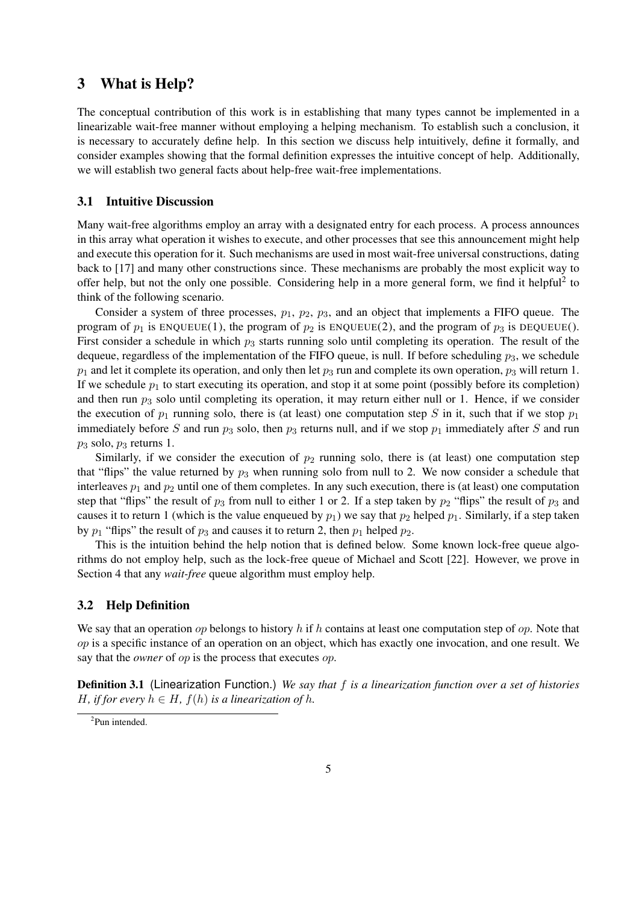## 3 What is Help?

The conceptual contribution of this work is in establishing that many types cannot be implemented in a linearizable wait-free manner without employing a helping mechanism. To establish such a conclusion, it is necessary to accurately define help. In this section we discuss help intuitively, define it formally, and consider examples showing that the formal definition expresses the intuitive concept of help. Additionally, we will establish two general facts about help-free wait-free implementations.

### 3.1 Intuitive Discussion

Many wait-free algorithms employ an array with a designated entry for each process. A process announces in this array what operation it wishes to execute, and other processes that see this announcement might help and execute this operation for it. Such mechanisms are used in most wait-free universal constructions, dating back to [17] and many other constructions since. These mechanisms are probably the most explicit way to offer help, but not the only one possible. Considering help in a more general form, we find it helpful<sup>2</sup> to think of the following scenario.

Consider a system of three processes, *p*1, *p*2, *p*3, and an object that implements a FIFO queue. The program of  $p_1$  is ENQUEUE(1), the program of  $p_2$  is ENQUEUE(2), and the program of  $p_3$  is DEQUEUE(). First consider a schedule in which  $p_3$  starts running solo until completing its operation. The result of the dequeue, regardless of the implementation of the FIFO queue, is null. If before scheduling *p*3, we schedule  $p_1$  and let it complete its operation, and only then let  $p_3$  run and complete its own operation,  $p_3$  will return 1. If we schedule  $p_1$  to start executing its operation, and stop it at some point (possibly before its completion) and then run  $p_3$  solo until completing its operation, it may return either null or 1. Hence, if we consider the execution of  $p_1$  running solo, there is (at least) one computation step *S* in it, such that if we stop  $p_1$ immediately before *S* and run  $p_3$  solo, then  $p_3$  returns null, and if we stop  $p_1$  immediately after *S* and run *p*<sup>3</sup> solo, *p*<sup>3</sup> returns 1.

Similarly, if we consider the execution of  $p_2$  running solo, there is (at least) one computation step that "flips" the value returned by  $p_3$  when running solo from null to 2. We now consider a schedule that interleaves  $p_1$  and  $p_2$  until one of them completes. In any such execution, there is (at least) one computation step that "flips" the result of  $p_3$  from null to either 1 or 2. If a step taken by  $p_2$  "flips" the result of  $p_3$  and causes it to return 1 (which is the value enqueued by  $p_1$ ) we say that  $p_2$  helped  $p_1$ . Similarly, if a step taken by  $p_1$  "flips" the result of  $p_3$  and causes it to return 2, then  $p_1$  helped  $p_2$ .

This is the intuition behind the help notion that is defined below. Some known lock-free queue algorithms do not employ help, such as the lock-free queue of Michael and Scott [22]. However, we prove in Section 4 that any *wait-free* queue algorithm must employ help.

## 3.2 Help Definition

We say that an operation *op* belongs to history *h* if *h* contains at least one computation step of *op*. Note that *op* is a specific instance of an operation on an object, which has exactly one invocation, and one result. We say that the *owner* of *op* is the process that executes *op*.

Definition 3.1 (Linearization Function.) *We say that f is a linearization function over a set of histories H, if for every*  $h \in H$ *,*  $f(h)$  *is a linearization of*  $h$ *.* 

<sup>2</sup> Pun intended.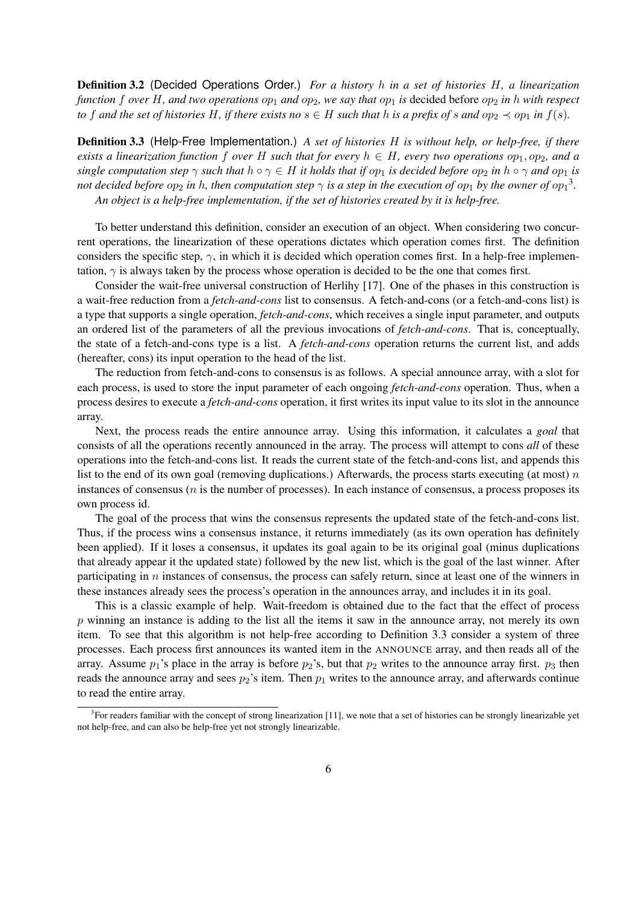Definition 3.2 (Decided Operations Order.) *For a history h in a set of histories H, a linearization function f over H*, *and two operations*  $op_1$  *and*  $op_2$ , *we say that*  $op_1$  *is* decided before  $op_2$  *in h with respect* to f and the set of histories H, if there exists no  $s \in H$  such that h is a prefix of s and op<sub>2</sub>  $\prec$  op<sub>1</sub> in  $f(s)$ .

Definition 3.3 (Help-Free Implementation.) *A set of histories H is without help, or help-free, if there exists a linearization function f over H such that for every*  $h \in H$ *, every two operations*  $op_1, op_2$ *, and a* single computation step  $\gamma$  such that  $h \circ \gamma \in H$  it holds that if  $op_1$  is decided before  $op_2$  in  $h \circ \gamma$  and  $op_1$  is *not decided before*  $op_2$  *in h, then computation step*  $\gamma$  *is a step in the execution of*  $op_1$  *by the owner of*  $op_1$ *<sup>3</sup>. An object is a help-free implementation, if the set of histories created by it is help-free.*

To better understand this definition, consider an execution of an object. When considering two concurrent operations, the linearization of these operations dictates which operation comes first. The definition considers the specific step,  $\gamma$ , in which it is decided which operation comes first. In a help-free implementation,  $\gamma$  is always taken by the process whose operation is decided to be the one that comes first.

Consider the wait-free universal construction of Herlihy [17]. One of the phases in this construction is a wait-free reduction from a *fetch-and-cons* list to consensus. A fetch-and-cons (or a fetch-and-cons list) is a type that supports a single operation, *fetch-and-cons*, which receives a single input parameter, and outputs an ordered list of the parameters of all the previous invocations of *fetch-and-cons*. That is, conceptually, the state of a fetch-and-cons type is a list. A *fetch-and-cons* operation returns the current list, and adds (hereafter, cons) its input operation to the head of the list.

The reduction from fetch-and-cons to consensus is as follows. A special announce array, with a slot for each process, is used to store the input parameter of each ongoing *fetch-and-cons* operation. Thus, when a process desires to execute a *fetch-and-cons* operation, it first writes its input value to its slot in the announce array.

Next, the process reads the entire announce array. Using this information, it calculates a *goal* that consists of all the operations recently announced in the array. The process will attempt to cons *all* of these operations into the fetch-and-cons list. It reads the current state of the fetch-and-cons list, and appends this list to the end of its own goal (removing duplications.) Afterwards, the process starts executing (at most) *n* instances of consensus (*n* is the number of processes). In each instance of consensus, a process proposes its own process id.

The goal of the process that wins the consensus represents the updated state of the fetch-and-cons list. Thus, if the process wins a consensus instance, it returns immediately (as its own operation has definitely been applied). If it loses a consensus, it updates its goal again to be its original goal (minus duplications that already appear it the updated state) followed by the new list, which is the goal of the last winner. After participating in *n* instances of consensus, the process can safely return, since at least one of the winners in these instances already sees the process's operation in the announces array, and includes it in its goal.

This is a classic example of help. Wait-freedom is obtained due to the fact that the effect of process *p* winning an instance is adding to the list all the items it saw in the announce array, not merely its own item. To see that this algorithm is not help-free according to Definition 3.3 consider a system of three processes. Each process first announces its wanted item in the ANNOUNCE array, and then reads all of the array. Assume  $p_1$ 's place in the array is before  $p_2$ 's, but that  $p_2$  writes to the announce array first.  $p_3$  then reads the announce array and sees  $p_2$ 's item. Then  $p_1$  writes to the announce array, and afterwards continue to read the entire array.

 $3$  For readers familiar with the concept of strong linearization [11], we note that a set of histories can be strongly linearizable yet not help-free, and can also be help-free yet not strongly linearizable.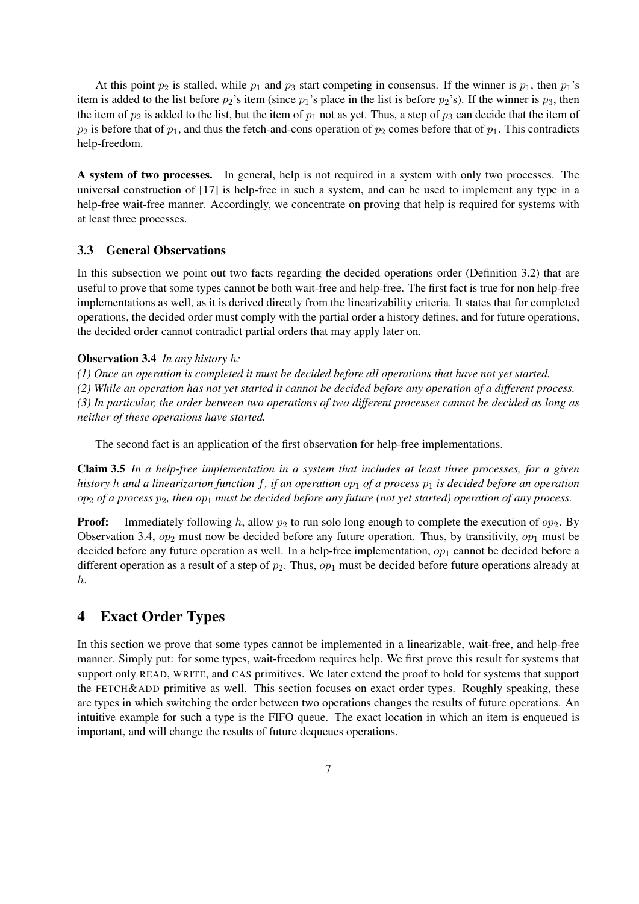At this point  $p_2$  is stalled, while  $p_1$  and  $p_3$  start competing in consensus. If the winner is  $p_1$ , then  $p_1$ 's item is added to the list before  $p_2$ 's item (since  $p_1$ 's place in the list is before  $p_2$ 's). If the winner is  $p_3$ , then the item of  $p_2$  is added to the list, but the item of  $p_1$  not as yet. Thus, a step of  $p_3$  can decide that the item of  $p_2$  is before that of  $p_1$ , and thus the fetch-and-cons operation of  $p_2$  comes before that of  $p_1$ . This contradicts help-freedom.

A system of two processes. In general, help is not required in a system with only two processes. The universal construction of [17] is help-free in such a system, and can be used to implement any type in a help-free wait-free manner. Accordingly, we concentrate on proving that help is required for systems with at least three processes.

## 3.3 General Observations

In this subsection we point out two facts regarding the decided operations order (Definition 3.2) that are useful to prove that some types cannot be both wait-free and help-free. The first fact is true for non help-free implementations as well, as it is derived directly from the linearizability criteria. It states that for completed operations, the decided order must comply with the partial order a history defines, and for future operations, the decided order cannot contradict partial orders that may apply later on.

## Observation 3.4 *In any history h:*

*(1) Once an operation is completed it must be decided before all operations that have not yet started.*

*(2) While an operation has not yet started it cannot be decided before any operation of a different process. (3) In particular, the order between two operations of two different processes cannot be decided as long as neither of these operations have started.*

The second fact is an application of the first observation for help-free implementations.

Claim 3.5 *In a help-free implementation in a system that includes at least three processes, for a given history h and a linearizarion function f, if an operation op*<sup>1</sup> *of a process p*<sup>1</sup> *is decided before an operation op*<sup>2</sup> *of a process p*2*, then op*<sup>1</sup> *must be decided before any future (not yet started) operation of any process.*

**Proof:** Immediately following *h*, allow  $p_2$  to run solo long enough to complete the execution of  $op_2$ . By Observation 3.4,  $op_2$  must now be decided before any future operation. Thus, by transitivity,  $op_1$  must be decided before any future operation as well. In a help-free implementation,  $op_1$  cannot be decided before a different operation as a result of a step of *p*2. Thus, *op*<sup>1</sup> must be decided before future operations already at *h*.

## 4 Exact Order Types

In this section we prove that some types cannot be implemented in a linearizable, wait-free, and help-free manner. Simply put: for some types, wait-freedom requires help. We first prove this result for systems that support only READ, WRITE, and CAS primitives. We later extend the proof to hold for systems that support the FETCH&ADD primitive as well. This section focuses on exact order types. Roughly speaking, these are types in which switching the order between two operations changes the results of future operations. An intuitive example for such a type is the FIFO queue. The exact location in which an item is enqueued is important, and will change the results of future dequeues operations.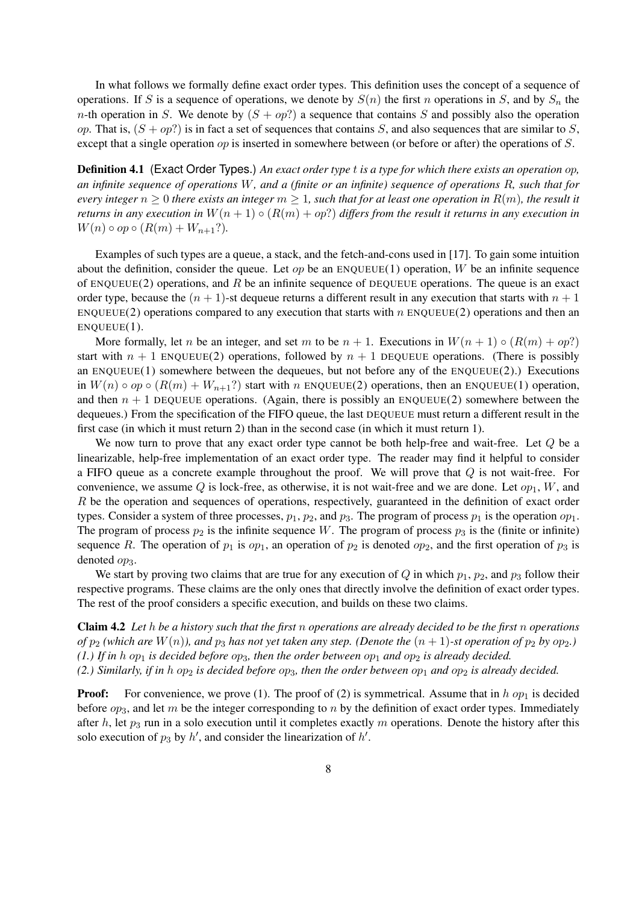In what follows we formally define exact order types. This definition uses the concept of a sequence of operations. If *S* is a sequence of operations, we denote by  $S(n)$  the first *n* operations in *S*, and by  $S_n$  the *n*-th operation in *S*. We denote by  $(S + op)$  a sequence that contains *S* and possibly also the operation *op*. That is,  $(S + op)$  is in fact a set of sequences that contains *S*, and also sequences that are similar to *S*, except that a single operation *op* is inserted in somewhere between (or before or after) the operations of *S*.

Definition 4.1 (Exact Order Types.) *An exact order type t is a type for which there exists an operation op, an infinite sequence of operations W, and a (finite or an infinite) sequence of operations R, such that for every integer*  $n \geq 0$  *there exists an integer*  $m \geq 1$ *, such that for at least one operation in*  $R(m)$ *, the result it returns in any execution in*  $W(n + 1) \circ (R(m) + op?)$  *differs from the result it returns in any execution in W*(*n*)  $\circ$  *op*  $\circ$  (*R*(*m*) + *W<sub><i>n*+1</sub>?).

Examples of such types are a queue, a stack, and the fetch-and-cons used in [17]. To gain some intuition about the definition, consider the queue. Let *op* be an ENQUEUE(1) operation, *W* be an infinite sequence of ENQUEUE(2) operations, and *R* be an infinite sequence of DEQUEUE operations. The queue is an exact order type, because the  $(n + 1)$ -st dequeue returns a different result in any execution that starts with  $n + 1$ ENQUEUE(2) operations compared to any execution that starts with *n* ENQUEUE(2) operations and then an  $ENOUEUE(1)$ .

More formally, let *n* be an integer, and set *m* to be  $n + 1$ . Executions in  $W(n + 1) \circ (R(m) + op)$ ? start with  $n + 1$  ENQUEUE(2) operations, followed by  $n + 1$  DEQUEUE operations. (There is possibly an ENQUEUE(1) somewhere between the dequeues, but not before any of the ENQUEUE(2).) Executions in  $W(n) \circ op \circ (R(m) + W_{n+1})$ ? start with *n* ENQUEUE(2) operations, then an ENQUEUE(1) operation, and then  $n + 1$  DEQUEUE operations. (Again, there is possibly an ENQUEUE(2) somewhere between the dequeues.) From the specification of the FIFO queue, the last DEQUEUE must return a different result in the first case (in which it must return 2) than in the second case (in which it must return 1).

We now turn to prove that any exact order type cannot be both help-free and wait-free. Let *Q* be a linearizable, help-free implementation of an exact order type. The reader may find it helpful to consider a FIFO queue as a concrete example throughout the proof. We will prove that *Q* is not wait-free. For convenience, we assume  $Q$  is lock-free, as otherwise, it is not wait-free and we are done. Let  $op_1$ ,  $W$ , and *R* be the operation and sequences of operations, respectively, guaranteed in the definition of exact order types. Consider a system of three processes,  $p_1$ ,  $p_2$ , and  $p_3$ . The program of process  $p_1$  is the operation  $op_1$ . The program of process  $p_2$  is the infinite sequence *W*. The program of process  $p_3$  is the (finite or infinite) sequence *R*. The operation of  $p_1$  is  $op_1$ , an operation of  $p_2$  is denoted  $op_2$ , and the first operation of  $p_3$  is denoted  $op_3$ .

We start by proving two claims that are true for any execution of *Q* in which  $p_1$ ,  $p_2$ , and  $p_3$  follow their respective programs. These claims are the only ones that directly involve the definition of exact order types. The rest of the proof considers a specific execution, and builds on these two claims.

Claim 4.2 *Let h be a history such that the first n operations are already decided to be the first n operations of*  $p_2$  (which are  $W(n)$ ), and  $p_3$  has not yet taken any step. (Denote the  $(n + 1)$ -st operation of  $p_2$  by  $op_2$ .) *(1.)* If in *h* op<sub>1</sub> is decided before  $op_3$ , then the order between  $op_1$  and  $op_2$  is already decided. *(2.) Similarly, if in h*  $op_2$  *is decided before*  $op_3$ *, then the order between*  $op_1$  *and*  $op_2$  *is already decided.* 

**Proof:** For convenience, we prove (1). The proof of (2) is symmetrical. Assume that in  $h$  op<sub>1</sub> is decided before *op*3, and let *m* be the integer corresponding to *n* by the definition of exact order types. Immediately after *h*, let *p*<sup>3</sup> run in a solo execution until it completes exactly *m* operations. Denote the history after this solo execution of  $p_3$  by  $h'$ , and consider the linearization of  $h'$ .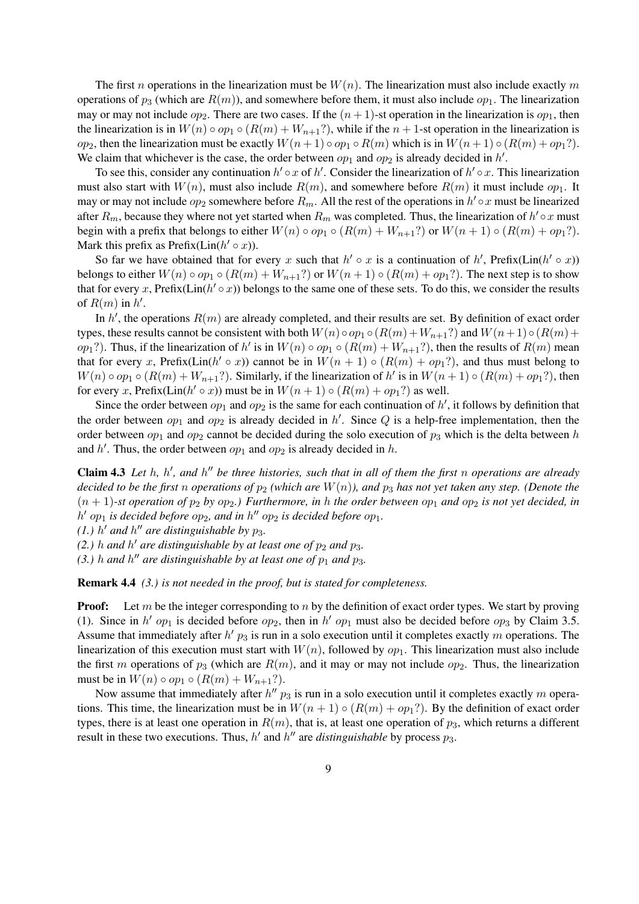The first *n* operations in the linearization must be *W*(*n*). The linearization must also include exactly *m* operations of  $p_3$  (which are  $R(m)$ ), and somewhere before them, it must also include  $op_1$ . The linearization may or may not include  $op_2$ . There are two cases. If the  $(n+1)$ -st operation in the linearization is  $op_1$ , then the linearization is in  $W(n) \circ op_1 \circ (R(m) + W_{n+1}$ ?), while if the  $n+1$ -st operation in the linearization is *op*<sub>2</sub>, then the linearization must be exactly  $W(n+1) \circ op_1 \circ R(m)$  which is in  $W(n+1) \circ (R(m) + op_1?)$ . We claim that whichever is the case, the order between  $op_1$  and  $op_2$  is already decided in  $h'$ .

To see this, consider any continuation  $h' \circ x$  of  $h'$ . Consider the linearization of  $h' \circ x$ . This linearization must also start with  $W(n)$ , must also include  $R(m)$ , and somewhere before  $R(m)$  it must include  $op_1$ . It may or may not include  $op_2$  somewhere before  $R_m$ . All the rest of the operations in  $h' \circ x$  must be linearized after  $R_m$ , because they where not yet started when  $R_m$  was completed. Thus, the linearization of  $h' \circ x$  must begin with a prefix that belongs to either  $W(n) \circ op_1 \circ (R(m) + W_{n+1}$ ?) or  $W(n+1) \circ (R(m) + op_1)$ ?. Mark this prefix as Prefix( $\text{Lin}(h' \circ x)$ ).

So far we have obtained that for every x such that  $h' \circ x$  is a continuation of  $h'$ , Prefix(Lin( $h' \circ x$ )) belongs to either  $W(n) \circ op_1 \circ (R(m) + W_{n+1}$ ?) or  $W(n+1) \circ (R(m) + op_1)$ ?. The next step is to show that for every *x*, Prefix( $Lin(h' \circ x)$ ) belongs to the same one of these sets. To do this, we consider the results of  $R(m)$  in  $h'$ .

In  $h'$ , the operations  $R(m)$  are already completed, and their results are set. By definition of exact order types, these results cannot be consistent with both  $W(n) \circ op_1 \circ (R(m) + W_{n+1})$ ?) and  $W(n+1) \circ (R(m) +$  $op_1$ ?). Thus, if the linearization of *h'* is in  $W(n) \circ op_1 \circ (R(m) + W_{n+1})$ , then the results of  $R(m)$  mean that for every *x*, Prefix(Lin( $h' \circ x$ )) cannot be in  $W(n + 1) \circ (R(m) + op_1?)$ , and thus must belong to *W*(*n*)  $\circ$  *op*<sub>1</sub>  $\circ$  (*R*(*m*) + *W*<sub>*n*+1</sub>?). Similarly, if the linearization of *h'* is in *W*(*n* + 1)  $\circ$  (*R*(*m*) + *op*<sub>1</sub>?), then for every *x*, Prefix( $\text{Lin}(h' \circ x)$ ) must be in  $W(n+1) \circ (R(m) + op_1?)$  as well.

Since the order between  $op_1$  and  $op_2$  is the same for each continuation of  $h'$ , it follows by definition that the order between  $op_1$  and  $op_2$  is already decided in  $h'$ . Since  $Q$  is a help-free implementation, then the order between *op*<sup>1</sup> and *op*<sup>2</sup> cannot be decided during the solo execution of *p*<sup>3</sup> which is the delta between *h* and  $h'$ . Thus, the order between  $op_1$  and  $op_2$  is already decided in  $h$ .

**Claim 4.3** Let *h*, *h'*, and *h''* be three histories, such that in all of them the first *n* operations are already *decided to be the first n operations of*  $p_2$  *(which are*  $W(n)$ *), and*  $p_3$  *has not yet taken any step. (Denote the*  $(n + 1)$ -st operation of  $p_2$  by  $op_2$ .) Furthermore, in h the order between  $op_1$  and  $op_2$  is not yet decided, in  $h'$  *op*<sub>1</sub> *is decided before*  $op_2$ *, and in*  $h''$   $op_2$  *is decided before*  $op_1$ *.* 

*(1.)*  $h'$  *and*  $h''$  *are distinguishable by*  $p_3$ *.* 

*(2.) h* and *h'* are distinguishable by at least one of  $p_2$  and  $p_3$ .

*(3.) h* and *h*<sup>*''*</sup> are distinguishable by at least one of  $p_1$  and  $p_3$ .

Remark 4.4 *(3.) is not needed in the proof, but is stated for completeness.*

**Proof:** Let *m* be the integer corresponding to *n* by the definition of exact order types. We start by proving (1). Since in *h'* op<sub>1</sub> is decided before op<sub>2</sub>, then in *h'* op<sub>1</sub> must also be decided before op<sub>3</sub> by Claim 3.5. Assume that immediately after *h'*  $p_3$  is run in a solo execution until it completes exactly *m* operations. The linearization of this execution must start with  $W(n)$ , followed by  $op_1$ . This linearization must also include the first *m* operations of  $p_3$  (which are  $R(m)$ , and it may or may not include  $op_2$ . Thus, the linearization must be in  $W(n) \circ op_1 \circ (R(m) + W_{n+1}$ ?).

Now assume that immediately after  $h'' p_3$  is run in a solo execution until it completes exactly m operations. This time, the linearization must be in  $W(n + 1) \circ (R(m) + op_1)$ . By the definition of exact order types, there is at least one operation in  $R(m)$ , that is, at least one operation of  $p_3$ , which returns a different result in these two executions. Thus,  $h'$  and  $h''$  are *distinguishable* by process  $p_3$ .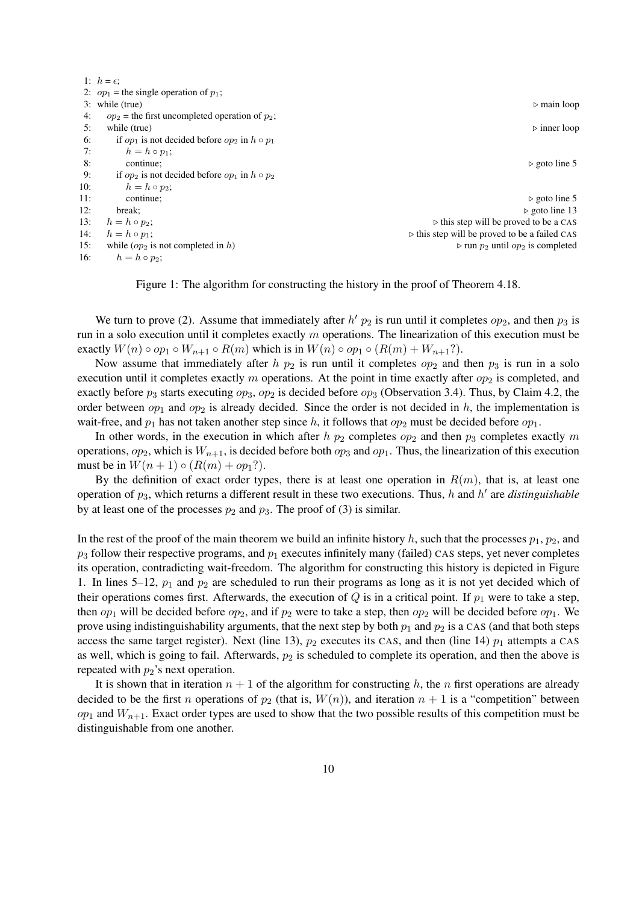|     | 1: $h = \epsilon$ ;                                     |                                                              |
|-----|---------------------------------------------------------|--------------------------------------------------------------|
|     | 2: $op_1$ = the single operation of $p_1$ ;             |                                                              |
|     | 3: while (true)                                         | $\triangleright$ main loop                                   |
| 4:  | $op_2$ = the first uncompleted operation of $p_2$ ;     |                                                              |
| 5:  | while (true)                                            | $\triangleright$ inner loop                                  |
| 6:  | if $op_1$ is not decided before $op_2$ in $h \circ p_1$ |                                                              |
| 7:  | $h = h \circ p_1$ ;                                     |                                                              |
| 8:  | continue;                                               | $\triangleright$ goto line 5                                 |
| 9:  | if $op_2$ is not decided before $op_1$ in $h \circ p_2$ |                                                              |
| 10: | $h = h \circ p_2;$                                      |                                                              |
| 11: | continue;                                               | $\triangleright$ goto line 5                                 |
| 12: | break:                                                  | $\triangleright$ goto line 13                                |
| 13: | $h = h \circ p_2$ ;                                     | $\triangleright$ this step will be proved to be a CAS        |
| 14: | $h = h \circ p_1$ ;                                     | $\triangleright$ this step will be proved to be a failed CAS |
| 15: | while $(op_2$ is not completed in h)                    | $\triangleright$ run $p_2$ until $op_2$ is completed         |
| 16: | $h = h \circ p_2$ ;                                     |                                                              |

Figure 1: The algorithm for constructing the history in the proof of Theorem 4.18.

We turn to prove (2). Assume that immediately after  $h'p_2$  is run until it completes  $op_2$ , and then  $p_3$  is run in a solo execution until it completes exactly *m* operations. The linearization of this execution must be exactly  $W(n) \circ op_1 \circ W_{n+1} \circ R(m)$  which is in  $W(n) \circ op_1 \circ (R(m) + W_{n+1})$ .

Now assume that immediately after *h p*<sub>2</sub> is run until it completes  $op_2$  and then  $p_3$  is run in a solo execution until it completes exactly  $m$  operations. At the point in time exactly after  $op_2$  is completed, and exactly before  $p_3$  starts executing  $op_3$ ,  $op_2$  is decided before  $op_3$  (Observation 3.4). Thus, by Claim 4.2, the order between  $op_1$  and  $op_2$  is already decided. Since the order is not decided in *h*, the implementation is wait-free, and  $p_1$  has not taken another step since  $h$ , it follows that  $op_2$  must be decided before  $op_1$ .

In other words, in the execution in which after  $h p_2$  completes  $op_2$  and then  $p_3$  completes exactly  $m$ operations,  $op_2$ , which is  $W_{n+1}$ , is decided before both  $op_3$  and  $op_1$ . Thus, the linearization of this execution must be in  $W(n + 1) \circ (R(m) + op_1)$ .

By the definition of exact order types, there is at least one operation in  $R(m)$ , that is, at least one operation of *p*3, which returns a different result in these two executions. Thus, *h* and *h ′* are *distinguishable* by at least one of the processes  $p_2$  and  $p_3$ . The proof of (3) is similar.

In the rest of the proof of the main theorem we build an infinite history  $h$ , such that the processes  $p_1, p_2$ , and  $p_3$  follow their respective programs, and  $p_1$  executes infinitely many (failed) CAS steps, yet never completes its operation, contradicting wait-freedom. The algorithm for constructing this history is depicted in Figure 1. In lines 5–12, *p*<sup>1</sup> and *p*<sup>2</sup> are scheduled to run their programs as long as it is not yet decided which of their operations comes first. Afterwards, the execution of  $Q$  is in a critical point. If  $p_1$  were to take a step, then  $op_1$  will be decided before  $op_2$ , and if  $p_2$  were to take a step, then  $op_2$  will be decided before  $op_1$ . We prove using indistinguishability arguments, that the next step by both  $p_1$  and  $p_2$  is a CAS (and that both steps access the same target register). Next (line 13),  $p_2$  executes its CAS, and then (line 14)  $p_1$  attempts a CAS as well, which is going to fail. Afterwards,  $p_2$  is scheduled to complete its operation, and then the above is repeated with  $p_2$ 's next operation.

It is shown that in iteration  $n + 1$  of the algorithm for constructing h, the n first operations are already decided to be the first *n* operations of  $p_2$  (that is,  $W(n)$ ), and iteration  $n + 1$  is a "competition" between  $op_1$  and  $W_{n+1}$ . Exact order types are used to show that the two possible results of this competition must be distinguishable from one another.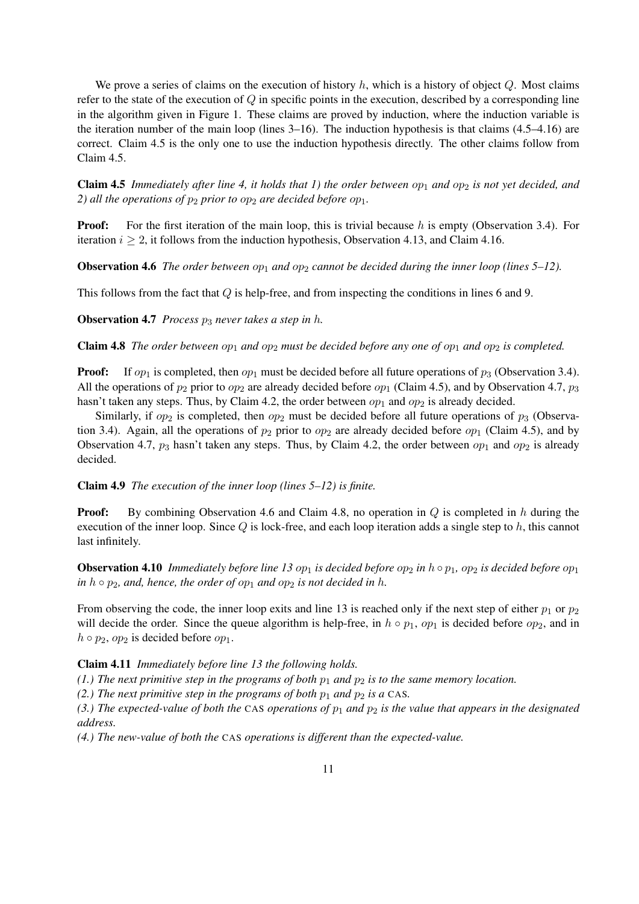We prove a series of claims on the execution of history *h*, which is a history of object *Q*. Most claims refer to the state of the execution of *Q* in specific points in the execution, described by a corresponding line in the algorithm given in Figure 1. These claims are proved by induction, where the induction variable is the iteration number of the main loop (lines 3–16). The induction hypothesis is that claims (4.5–4.16) are correct. Claim 4.5 is the only one to use the induction hypothesis directly. The other claims follow from Claim 4.5.

**Claim 4.5** *Immediately after line 4, it holds that 1) the order between*  $op_1$  *and*  $op_2$  *is not yet decided, and 2) all the operations of*  $p_2$  *prior to*  $op_2$  *are decided before*  $op_1$ *.* 

**Proof:** For the first iteration of the main loop, this is trivial because h is empty (Observation 3.4). For iteration  $i \geq 2$ , it follows from the induction hypothesis, Observation 4.13, and Claim 4.16.

**Observation 4.6** *The order between*  $op_1$  *and*  $op_2$  *cannot be decided during the inner loop (lines 5–12).* 

This follows from the fact that *Q* is help-free, and from inspecting the conditions in lines 6 and 9.

Observation 4.7 *Process p*<sup>3</sup> *never takes a step in h.*

**Claim 4.8** *The order between*  $op_1$  *and*  $op_2$  *must be decided before any one of*  $op_1$  *and*  $op_2$  *is completed.* 

**Proof:** If  $op_1$  is completed, then  $op_1$  must be decided before all future operations of  $p_3$  (Observation 3.4). All the operations of  $p_2$  prior to  $op_2$  are already decided before  $op_1$  (Claim 4.5), and by Observation 4.7,  $p_3$ hasn't taken any steps. Thus, by Claim 4.2, the order between  $op_1$  and  $op_2$  is already decided.

Similarly, if *op*<sub>2</sub> is completed, then *op*<sub>2</sub> must be decided before all future operations of *p*<sub>3</sub> (Observation 3.4). Again, all the operations of  $p_2$  prior to  $op_2$  are already decided before  $op_1$  (Claim 4.5), and by Observation 4.7,  $p_3$  hasn't taken any steps. Thus, by Claim 4.2, the order between  $op_1$  and  $op_2$  is already decided.

Claim 4.9 *The execution of the inner loop (lines 5–12) is finite.*

Proof: By combining Observation 4.6 and Claim 4.8, no operation in *Q* is completed in *h* during the execution of the inner loop. Since *Q* is lock-free, and each loop iteration adds a single step to *h*, this cannot last infinitely.

**Observation 4.10** *Immediately before line 13*  $op_1$  *is decided before*  $op_2$  *in*  $h \circ p_1$ *,*  $op_2$  *is decided before*  $op_1$ *in*  $h \circ p_2$ *, and, hence, the order of*  $op_1$  *and*  $op_2$  *is not decided in h.* 

From observing the code, the inner loop exits and line 13 is reached only if the next step of either  $p_1$  or  $p_2$ will decide the order. Since the queue algorithm is help-free, in  $h \circ p_1$ ,  $op_1$  is decided before  $op_2$ , and in  $h \circ p_2$ , *op*<sub>2</sub> is decided before *op*<sub>1</sub>.

## Claim 4.11 *Immediately before line 13 the following holds.*

*(1.) The next primitive step in the programs of both*  $p_1$  *and*  $p_2$  *is to the same memory location.* 

*(2.) The next primitive step in the programs of both*  $p_1$  *and*  $p_2$  *is a* CAS.

(3.) The expected-value of both the CAS operations of  $p_1$  and  $p_2$  is the value that appears in the designated *address.*

*(4.) The new-value of both the* CAS *operations is different than the expected-value.*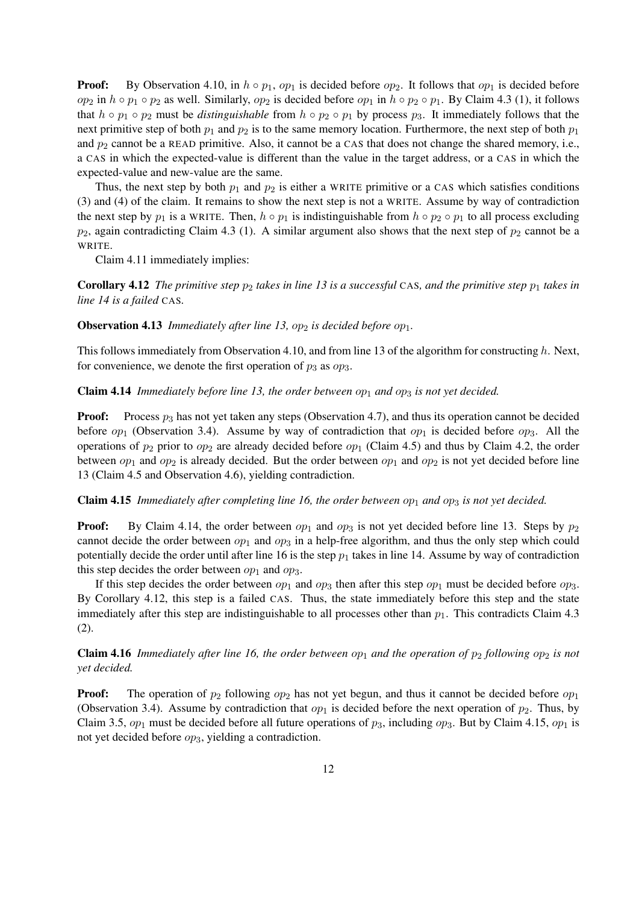**Proof:** By Observation 4.10, in  $h \circ p_1$ ,  $op_1$  is decided before  $op_2$ . It follows that  $op_1$  is decided before *op*<sub>2</sub> in *h*  $\circ$  *p*<sub>1</sub>  $\circ$  *p*<sub>2</sub> as well. Similarly, *op*<sub>2</sub> is decided before *op*<sub>1</sub> in *h*  $\circ$  *p*<sub>2</sub>  $\circ$  *p*<sub>1</sub>. By Claim 4.3 (1), it follows that  $h \circ p_1 \circ p_2$  must be *distinguishable* from  $h \circ p_2 \circ p_1$  by process  $p_3$ . It immediately follows that the next primitive step of both  $p_1$  and  $p_2$  is to the same memory location. Furthermore, the next step of both  $p_1$ and  $p_2$  cannot be a READ primitive. Also, it cannot be a CAS that does not change the shared memory, i.e., a CAS in which the expected-value is different than the value in the target address, or a CAS in which the expected-value and new-value are the same.

Thus, the next step by both  $p_1$  and  $p_2$  is either a WRITE primitive or a CAS which satisfies conditions (3) and (4) of the claim. It remains to show the next step is not a WRITE. Assume by way of contradiction the next step by  $p_1$  is a WRITE. Then,  $h \circ p_1$  is indistinguishable from  $h \circ p_2 \circ p_1$  to all process excluding  $p_2$ , again contradicting Claim 4.3 (1). A similar argument also shows that the next step of  $p_2$  cannot be a WRITE.

Claim 4.11 immediately implies:

**Corollary 4.12** *The primitive step*  $p_2$  *takes in line* 13 *is a successful* CAS, and the primitive step  $p_1$  takes in *line 14 is a failed* CAS*.*

**Observation 4.13** *Immediately after line 13,*  $op_2$  *is decided before*  $op_1$ *.* 

This follows immediately from Observation 4.10, and from line 13 of the algorithm for constructing *h*. Next, for convenience, we denote the first operation of *p*<sup>3</sup> as *op*3.

**Claim 4.14** *Immediately before line 13, the order between*  $op_1$  *and*  $op_3$  *is not yet decided.* 

**Proof:** Process  $p_3$  has not yet taken any steps (Observation 4.7), and thus its operation cannot be decided before *op*<sub>1</sub> (Observation 3.4). Assume by way of contradiction that *op*<sub>1</sub> is decided before *op*<sub>3</sub>. All the operations of  $p_2$  prior to  $op_2$  are already decided before  $op_1$  (Claim 4.5) and thus by Claim 4.2, the order between  $op_1$  and  $op_2$  is already decided. But the order between  $op_1$  and  $op_2$  is not yet decided before line 13 (Claim 4.5 and Observation 4.6), yielding contradiction.

Claim 4.15 *Immediately after completing line 16, the order between*  $op_1$  *and*  $op_3$  *is not yet decided.* 

**Proof:** By Claim 4.14, the order between  $op_1$  and  $op_3$  is not yet decided before line 13. Steps by  $p_2$ cannot decide the order between  $op_1$  and  $op_3$  in a help-free algorithm, and thus the only step which could potentially decide the order until after line 16 is the step  $p_1$  takes in line 14. Assume by way of contradiction this step decides the order between  $op_1$  and  $op_3$ .

If this step decides the order between  $op_1$  and  $op_3$  then after this step  $op_1$  must be decided before  $op_3$ . By Corollary 4.12, this step is a failed CAS. Thus, the state immediately before this step and the state immediately after this step are indistinguishable to all processes other than  $p_1$ . This contradicts Claim 4.3 (2).

**Claim 4.16** *Immediately after line 16, the order between*  $op_1$  *and the operation of*  $p_2$  *following*  $op_2$  *is not yet decided.*

**Proof:** The operation of  $p_2$  following  $op_2$  has not yet begun, and thus it cannot be decided before  $op_1$ (Observation 3.4). Assume by contradiction that  $op_1$  is decided before the next operation of  $p_2$ . Thus, by Claim 3.5, *op*<sup>1</sup> must be decided before all future operations of *p*3, including *op*3. But by Claim 4.15, *op*<sup>1</sup> is not yet decided before *op*3, yielding a contradiction.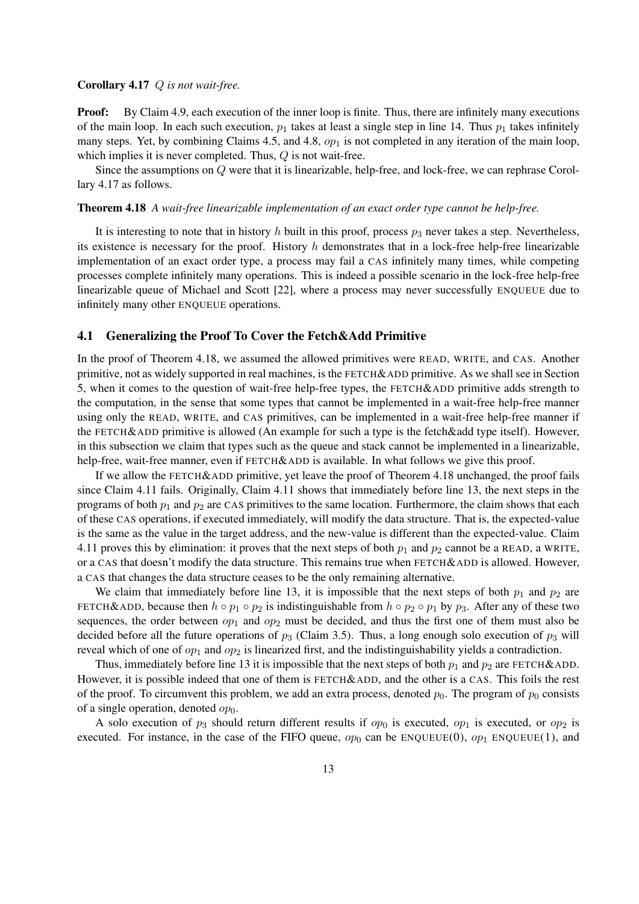## Corollary 4.17 *Q is not wait-free.*

**Proof:** By Claim 4.9, each execution of the inner loop is finite. Thus, there are infinitely many executions of the main loop. In each such execution,  $p_1$  takes at least a single step in line 14. Thus  $p_1$  takes infinitely many steps. Yet, by combining Claims 4.5, and 4.8,  $op<sub>1</sub>$  is not completed in any iteration of the main loop, which implies it is never completed. Thus, *Q* is not wait-free.

Since the assumptions on *Q* were that it is linearizable, help-free, and lock-free, we can rephrase Corollary 4.17 as follows.

### Theorem 4.18 *A wait-free linearizable implementation of an exact order type cannot be help-free.*

It is interesting to note that in history  $h$  built in this proof, process  $p_3$  never takes a step. Nevertheless, its existence is necessary for the proof. History *h* demonstrates that in a lock-free help-free linearizable implementation of an exact order type, a process may fail a CAS infinitely many times, while competing processes complete infinitely many operations. This is indeed a possible scenario in the lock-free help-free linearizable queue of Michael and Scott [22], where a process may never successfully ENQUEUE due to infinitely many other ENQUEUE operations.

#### 4.1 Generalizing the Proof To Cover the Fetch&Add Primitive

In the proof of Theorem 4.18, we assumed the allowed primitives were READ, WRITE, and CAS. Another primitive, not as widely supported in real machines, is the FETCH&ADD primitive. As we shall see in Section 5, when it comes to the question of wait-free help-free types, the FETCH&ADD primitive adds strength to the computation, in the sense that some types that cannot be implemented in a wait-free help-free manner using only the READ, WRITE, and CAS primitives, can be implemented in a wait-free help-free manner if the FETCH&ADD primitive is allowed (An example for such a type is the fetch&add type itself). However, in this subsection we claim that types such as the queue and stack cannot be implemented in a linearizable, help-free, wait-free manner, even if FETCH&ADD is available. In what follows we give this proof.

If we allow the FETCH&ADD primitive, yet leave the proof of Theorem 4.18 unchanged, the proof fails since Claim 4.11 fails. Originally, Claim 4.11 shows that immediately before line 13, the next steps in the programs of both  $p_1$  and  $p_2$  are CAS primitives to the same location. Furthermore, the claim shows that each of these CAS operations, if executed immediately, will modify the data structure. That is, the expected-value is the same as the value in the target address, and the new-value is different than the expected-value. Claim 4.11 proves this by elimination: it proves that the next steps of both  $p_1$  and  $p_2$  cannot be a READ, a WRITE, or a CAS that doesn't modify the data structure. This remains true when FETCH&ADD is allowed. However, a CAS that changes the data structure ceases to be the only remaining alternative.

We claim that immediately before line 13, it is impossible that the next steps of both  $p_1$  and  $p_2$  are FETCH&ADD, because then  $h \circ p_1 \circ p_2$  is indistinguishable from  $h \circ p_2 \circ p_1$  by  $p_3$ . After any of these two sequences, the order between  $op_1$  and  $op_2$  must be decided, and thus the first one of them must also be decided before all the future operations of *p*<sup>3</sup> (Claim 3.5). Thus, a long enough solo execution of *p*<sup>3</sup> will reveal which of one of  $op_1$  and  $op_2$  is linearized first, and the indistinguishability yields a contradiction.

Thus, immediately before line 13 it is impossible that the next steps of both  $p_1$  and  $p_2$  are FETCH&ADD. However, it is possible indeed that one of them is FETCH&ADD, and the other is a CAS. This foils the rest of the proof. To circumvent this problem, we add an extra process, denoted  $p_0$ . The program of  $p_0$  consists of a single operation, denoted  $op_0$ .

A solo execution of  $p_3$  should return different results if  $op_0$  is executed,  $op_1$  is executed, or  $op_2$  is executed. For instance, in the case of the FIFO queue,  $op_0$  can be  $ENQUEUE(0), op_1 ENQUEUE(1),$  and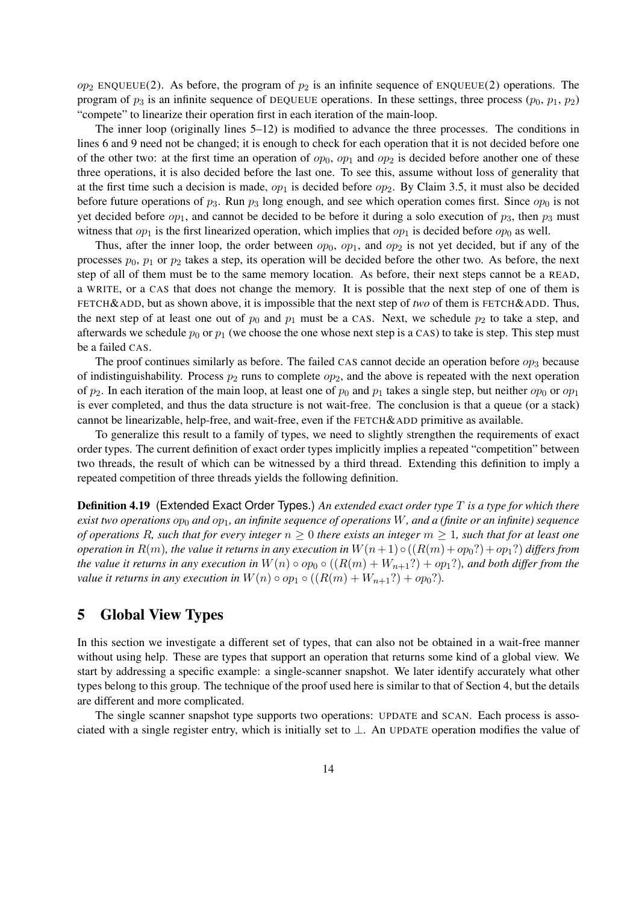$op<sub>2</sub>$  ENQUEUE(2). As before, the program of  $p<sub>2</sub>$  is an infinite sequence of ENQUEUE(2) operations. The program of  $p_3$  is an infinite sequence of DEQUEUE operations. In these settings, three process  $(p_0, p_1, p_2)$ "compete" to linearize their operation first in each iteration of the main-loop.

The inner loop (originally lines 5–12) is modified to advance the three processes. The conditions in lines 6 and 9 need not be changed; it is enough to check for each operation that it is not decided before one of the other two: at the first time an operation of  $op_0$ ,  $op_1$  and  $op_2$  is decided before another one of these three operations, it is also decided before the last one. To see this, assume without loss of generality that at the first time such a decision is made,  $op_1$  is decided before  $op_2$ . By Claim 3.5, it must also be decided before future operations of  $p_3$ . Run  $p_3$  long enough, and see which operation comes first. Since  $op_0$  is not yet decided before *op*1, and cannot be decided to be before it during a solo execution of *p*3, then *p*<sup>3</sup> must witness that  $op_1$  is the first linearized operation, which implies that  $op_1$  is decided before  $op_0$  as well.

Thus, after the inner loop, the order between  $op_0$ ,  $op_1$ , and  $op_2$  is not yet decided, but if any of the processes  $p_0$ ,  $p_1$  or  $p_2$  takes a step, its operation will be decided before the other two. As before, the next step of all of them must be to the same memory location. As before, their next steps cannot be a READ, a WRITE, or a CAS that does not change the memory. It is possible that the next step of one of them is FETCH&ADD, but as shown above, it is impossible that the next step of *two* of them is FETCH&ADD. Thus, the next step of at least one out of  $p_0$  and  $p_1$  must be a CAS. Next, we schedule  $p_2$  to take a step, and afterwards we schedule  $p_0$  or  $p_1$  (we choose the one whose next step is a CAS) to take is step. This step must be a failed CAS.

The proof continues similarly as before. The failed CAS cannot decide an operation before  $op_3$  because of indistinguishability. Process  $p_2$  runs to complete  $op_2$ , and the above is repeated with the next operation of  $p_2$ . In each iteration of the main loop, at least one of  $p_0$  and  $p_1$  takes a single step, but neither  $op_0$  or  $op_1$ is ever completed, and thus the data structure is not wait-free. The conclusion is that a queue (or a stack) cannot be linearizable, help-free, and wait-free, even if the FETCH&ADD primitive as available.

To generalize this result to a family of types, we need to slightly strengthen the requirements of exact order types. The current definition of exact order types implicitly implies a repeated "competition" between two threads, the result of which can be witnessed by a third thread. Extending this definition to imply a repeated competition of three threads yields the following definition.

Definition 4.19 (Extended Exact Order Types.) *An extended exact order type T is a type for which there exist two operations op*<sup>0</sup> *and op*1*, an infinite sequence of operations W, and a (finite or an infinite) sequence of operations R, such that for every integer*  $n \geq 0$  *there exists an integer*  $m \geq 1$ *, such that for at least one operation in*  $R(m)$ *, the value it returns in any execution in*  $W(n+1) \circ ((R(m) + op_0?) + op_1?)$  *differs from the value it returns in any execution in*  $W(n) \circ op_0 \circ ((R(m) + W_{n+1}) \circ op_1)$ *, and both differ from the value it returns in any execution in*  $W(n) \circ op_1 \circ ((R(m) + W_{n+1}?) + op_0?)$ .

## 5 Global View Types

In this section we investigate a different set of types, that can also not be obtained in a wait-free manner without using help. These are types that support an operation that returns some kind of a global view. We start by addressing a specific example: a single-scanner snapshot. We later identify accurately what other types belong to this group. The technique of the proof used here is similar to that of Section 4, but the details are different and more complicated.

The single scanner snapshot type supports two operations: UPDATE and SCAN. Each process is associated with a single register entry, which is initially set to *⊥*. An UPDATE operation modifies the value of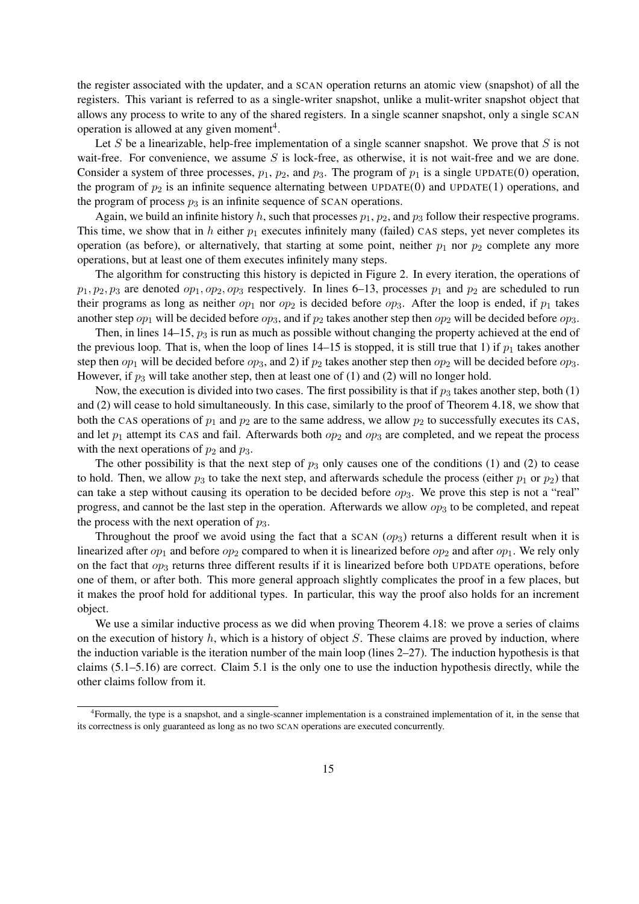the register associated with the updater, and a SCAN operation returns an atomic view (snapshot) of all the registers. This variant is referred to as a single-writer snapshot, unlike a mulit-writer snapshot object that allows any process to write to any of the shared registers. In a single scanner snapshot, only a single SCAN operation is allowed at any given moment<sup>4</sup>.

Let *S* be a linearizable, help-free implementation of a single scanner snapshot. We prove that *S* is not wait-free. For convenience, we assume *S* is lock-free, as otherwise, it is not wait-free and we are done. Consider a system of three processes,  $p_1$ ,  $p_2$ , and  $p_3$ . The program of  $p_1$  is a single UPDATE(0) operation, the program of  $p_2$  is an infinite sequence alternating between UPDATE(0) and UPDATE(1) operations, and the program of process  $p_3$  is an infinite sequence of SCAN operations.

Again, we build an infinite history  $h$ , such that processes  $p_1$ ,  $p_2$ , and  $p_3$  follow their respective programs. This time, we show that in *h* either  $p_1$  executes infinitely many (failed) CAS steps, yet never completes its operation (as before), or alternatively, that starting at some point, neither  $p_1$  nor  $p_2$  complete any more operations, but at least one of them executes infinitely many steps.

The algorithm for constructing this history is depicted in Figure 2. In every iteration, the operations of  $p_1, p_2, p_3$  are denoted  $op_1, op_2, op_3$  respectively. In lines 6–13, processes  $p_1$  and  $p_2$  are scheduled to run their programs as long as neither  $op_1$  nor  $op_2$  is decided before  $op_3$ . After the loop is ended, if  $p_1$  takes another step  $op_1$  will be decided before  $op_3$ , and if  $p_2$  takes another step then  $op_2$  will be decided before  $op_3$ .

Then, in lines 14–15,  $p_3$  is run as much as possible without changing the property achieved at the end of the previous loop. That is, when the loop of lines  $14-15$  is stopped, it is still true that 1) if  $p_1$  takes another step then  $op_1$  will be decided before  $op_3$ , and 2) if  $p_2$  takes another step then  $op_2$  will be decided before  $op_3$ . However, if  $p_3$  will take another step, then at least one of (1) and (2) will no longer hold.

Now, the execution is divided into two cases. The first possibility is that if  $p_3$  takes another step, both (1) and (2) will cease to hold simultaneously. In this case, similarly to the proof of Theorem 4.18, we show that both the CAS operations of  $p_1$  and  $p_2$  are to the same address, we allow  $p_2$  to successfully executes its CAS, and let  $p_1$  attempt its CAS and fail. Afterwards both  $op_2$  and  $op_3$  are completed, and we repeat the process with the next operations of  $p_2$  and  $p_3$ .

The other possibility is that the next step of  $p_3$  only causes one of the conditions (1) and (2) to cease to hold. Then, we allow  $p_3$  to take the next step, and afterwards schedule the process (either  $p_1$  or  $p_2$ ) that can take a step without causing its operation to be decided before *op*3. We prove this step is not a "real" progress, and cannot be the last step in the operation. Afterwards we allow  $op_3$  to be completed, and repeat the process with the next operation of *p*3.

Throughout the proof we avoid using the fact that a SCAN (*op*3) returns a different result when it is linearized after  $op_1$  and before  $op_2$  compared to when it is linearized before  $op_2$  and after  $op_1$ . We rely only on the fact that  $op_3$  returns three different results if it is linearized before both UPDATE operations, before one of them, or after both. This more general approach slightly complicates the proof in a few places, but it makes the proof hold for additional types. In particular, this way the proof also holds for an increment object.

We use a similar inductive process as we did when proving Theorem 4.18: we prove a series of claims on the execution of history *h*, which is a history of object *S*. These claims are proved by induction, where the induction variable is the iteration number of the main loop (lines 2–27). The induction hypothesis is that claims (5.1–5.16) are correct. Claim 5.1 is the only one to use the induction hypothesis directly, while the other claims follow from it.

<sup>4</sup> Formally, the type is a snapshot, and a single-scanner implementation is a constrained implementation of it, in the sense that its correctness is only guaranteed as long as no two SCAN operations are executed concurrently.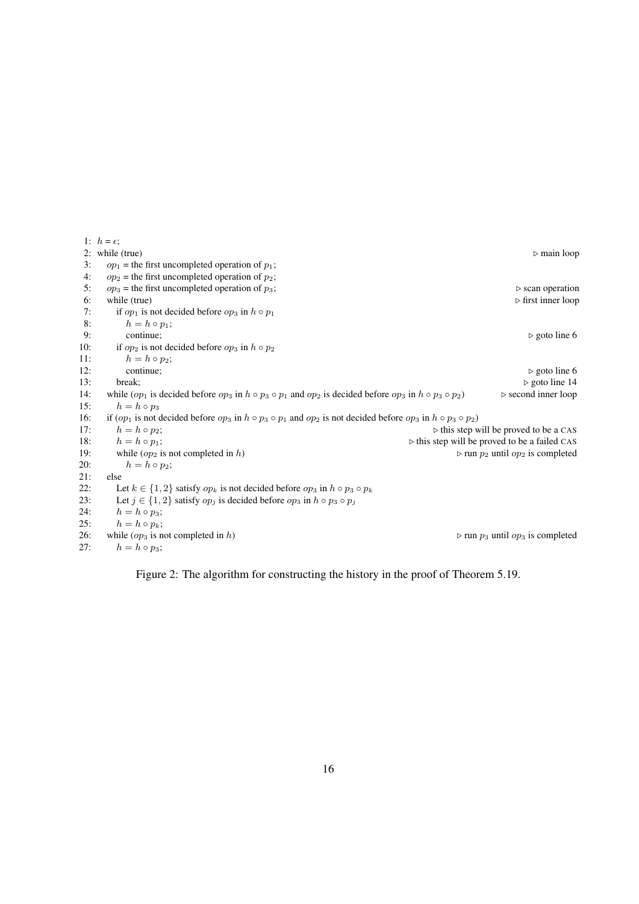1:  $h = \epsilon$ ; 2: while (true)  $\rho$  main loop 3:  $op_1$  = the first uncompleted operation of  $p_1$ ; 4:  $op_2$  = the first uncompleted operation of  $p_2$ ; 5:  $op_3$  = the first uncompleted operation of  $p_3$ ;  $\triangleright$  scan operation 6: while (true) **⊳** first inner loop **⊳** first inner loop 7: if  $op_1$  is not decided before  $op_3$  in  $h \circ p_1$ <br>8:  $h = h \circ p_1$ : 8:  $h = h \circ p_1;$ <br>9: continue: 9: continue;  $\rho$  goto line 6 10: if  $op_2$  is not decided before  $op_3$  in  $h \circ p_2$ 11:  $h = h \circ p_2$ ;<br>12: continue; 12: continue; **⊳** goto line 6 13: break; *⊳* goto line 14 14: while  $(op_1$  is decided before  $op_3$  in  $h \circ p_3 \circ p_1$  and  $op_2$  is decided before  $op_3$  in  $h \circ p_3 \circ p_2$  > second inner loop 15:  $h = h \circ p_3$ 16: if  $(op_1$  is not decided before  $op_3$  in  $h \circ p_3 \circ p_1$  and  $op_2$  is not decided before  $op_3$  in  $h \circ p_3 \circ p_2$ ) 17:  $h = h \circ p_2$ ;<br>
18:  $h = h \circ p_1$ ;<br>
18:  $h = h \circ p_1$ ; 18:  $h = h \circ p_1$ ;<br>  $\Rightarrow$  this step will be proved to be a failed CAS<br>  $\Rightarrow$  run *p*<sub>2</sub> until *op*<sub>2</sub> is completed<br>  $\Rightarrow$  run *p*<sub>2</sub> until *op*<sub>2</sub> is completed 19: while  $(op_2$  is not completed in *h*)  $\rangle$  *p n p*<sub>2</sub> until *op*<sub>2</sub> is completed 20:  $h = h \circ p_2$ : 20:  $h = h \circ p_2;$ <br>21: else 21:  $else$ <br>22:  $L$ Let  $k \in \{1, 2\}$  satisfy  $op_k$  is not decided before  $op_3$  in  $h \circ p_3 \circ p_k$ 23: Let  $j \in \{1, 2\}$  satisfy  $op_j$  is decided before  $op_3$  in  $h \circ p_3 \circ p_j$ 24:  $h = h \circ p_3$ ; 25:  $h = h \circ p_k$ ; 26: while  $(op_3$  is not completed in *h*)  $\rangle$ **<sup>26</sup>** run *p*<sub>3</sub> until  $op_3$  is completed 27:  $h = h \circ p_3;$ 

Figure 2: The algorithm for constructing the history in the proof of Theorem 5.19.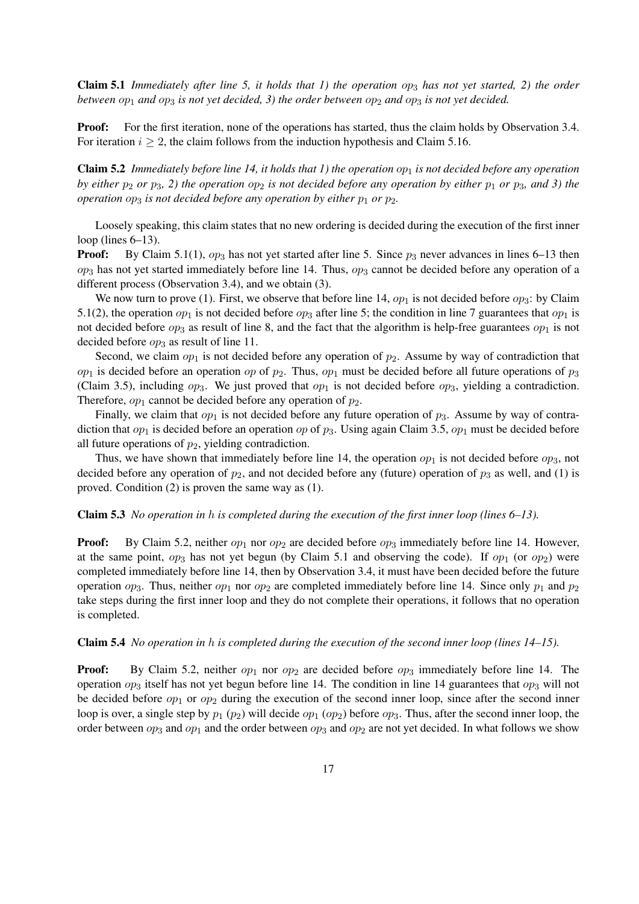Claim 5.1 *Immediately after line 5, it holds that 1) the operation op*<sup>3</sup> *has not yet started, 2) the order between*  $op_1$  *and*  $op_3$  *is not yet decided, 3) the order between*  $op_2$  *and*  $op_3$  *is not yet decided.* 

**Proof:** For the first iteration, none of the operations has started, thus the claim holds by Observation 3.4. For iteration  $i \geq 2$ , the claim follows from the induction hypothesis and Claim 5.16.

**Claim 5.2** *Immediately before line 14, it holds that 1) the operation*  $op_1$  *is not decided before any operation by either*  $p_2$  *or*  $p_3$ , 2) the operation  $op_2$  *is not decided before any operation by either*  $p_1$  *or*  $p_3$ *, and 3) the operation*  $op_3$  *is not decided before any operation by either*  $p_1$  *or*  $p_2$ *.* 

Loosely speaking, this claim states that no new ordering is decided during the execution of the first inner loop (lines 6–13).

**Proof:** By Claim 5.1(1),  $op_3$  has not yet started after line 5. Since  $p_3$  never advances in lines 6–13 then  $op_3$  has not yet started immediately before line 14. Thus,  $op_3$  cannot be decided before any operation of a different process (Observation 3.4), and we obtain (3).

We now turn to prove (1). First, we observe that before line 14,  $op_1$  is not decided before  $op_3$ : by Claim 5.1(2), the operation  $op_1$  is not decided before  $op_3$  after line 5; the condition in line 7 guarantees that  $op_1$  is not decided before  $op_3$  as result of line 8, and the fact that the algorithm is help-free guarantees  $op_1$  is not decided before *op*<sub>3</sub> as result of line 11.

Second, we claim  $op_1$  is not decided before any operation of  $p_2$ . Assume by way of contradiction that  $op_1$  is decided before an operation *op* of  $p_2$ . Thus,  $op_1$  must be decided before all future operations of  $p_3$ (Claim 3.5), including *op*3. We just proved that *op*<sup>1</sup> is not decided before *op*3, yielding a contradiction. Therefore,  $op_1$  cannot be decided before any operation of  $p_2$ .

Finally, we claim that  $op_1$  is not decided before any future operation of  $p_3$ . Assume by way of contradiction that  $op_1$  is decided before an operation  $op$  of  $p_3$ . Using again Claim 3.5,  $op_1$  must be decided before all future operations of  $p_2$ , yielding contradiction.

Thus, we have shown that immediately before line 14, the operation  $op_1$  is not decided before  $op_3$ , not decided before any operation of  $p_2$ , and not decided before any (future) operation of  $p_3$  as well, and (1) is proved. Condition (2) is proven the same way as (1).

#### Claim 5.3 *No operation in h is completed during the execution of the first inner loop (lines 6–13).*

**Proof:** By Claim 5.2, neither  $op_1$  nor  $op_2$  are decided before  $op_3$  immediately before line 14. However, at the same point, *op*<sup>3</sup> has not yet begun (by Claim 5.1 and observing the code). If *op*<sup>1</sup> (or *op*2) were completed immediately before line 14, then by Observation 3.4, it must have been decided before the future operation  $op_3$ . Thus, neither  $op_1$  nor  $op_2$  are completed immediately before line 14. Since only  $p_1$  and  $p_2$ take steps during the first inner loop and they do not complete their operations, it follows that no operation is completed.

## Claim 5.4 *No operation in h is completed during the execution of the second inner loop (lines 14–15).*

Proof: By Claim 5.2, neither  $op_1$  nor  $op_2$  are decided before  $op_3$  immediately before line 14. The operation *op*<sup>3</sup> itself has not yet begun before line 14. The condition in line 14 guarantees that *op*<sup>3</sup> will not be decided before *op*<sup>1</sup> or *op*<sup>2</sup> during the execution of the second inner loop, since after the second inner loop is over, a single step by *p*<sup>1</sup> (*p*2) will decide *op*<sup>1</sup> (*op*2) before *op*3. Thus, after the second inner loop, the order between  $op_3$  and  $op_1$  and the order between  $op_3$  and  $op_2$  are not yet decided. In what follows we show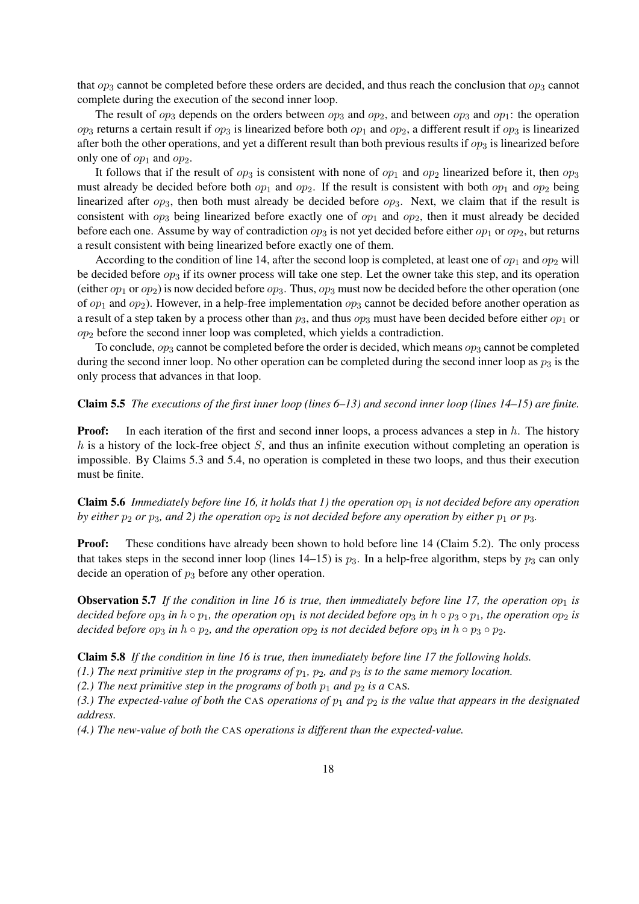that *op*<sup>3</sup> cannot be completed before these orders are decided, and thus reach the conclusion that *op*<sup>3</sup> cannot complete during the execution of the second inner loop.

The result of  $op_3$  depends on the orders between  $op_3$  and  $op_2$ , and between  $op_3$  and  $op_1$ : the operation  $op_3$  returns a certain result if  $op_3$  is linearized before both  $op_1$  and  $op_2$ , a different result if  $op_3$  is linearized after both the other operations, and yet a different result than both previous results if  $op_3$  is linearized before only one of  $op_1$  and  $op_2$ .

It follows that if the result of  $op_3$  is consistent with none of  $op_1$  and  $op_2$  linearized before it, then  $op_3$ must already be decided before both  $op_1$  and  $op_2$ . If the result is consistent with both  $op_1$  and  $op_2$  being linearized after *op*3, then both must already be decided before *op*3. Next, we claim that if the result is consistent with  $op_3$  being linearized before exactly one of  $op_1$  and  $op_2$ , then it must already be decided before each one. Assume by way of contradiction  $op_3$  is not yet decided before either  $op_1$  or  $op_2$ , but returns a result consistent with being linearized before exactly one of them.

According to the condition of line 14, after the second loop is completed, at least one of  $op_1$  and  $op_2$  will be decided before  $op_3$  if its owner process will take one step. Let the owner take this step, and its operation (either *op*<sub>1</sub> or *op*<sub>2</sub>) is now decided before  $op_3$ . Thus,  $op_3$  must now be decided before the other operation (one of  $op_1$  and  $op_2$ ). However, in a help-free implementation  $op_3$  cannot be decided before another operation as a result of a step taken by a process other than *p*3, and thus *op*<sup>3</sup> must have been decided before either *op*<sup>1</sup> or *op*<sup>2</sup> before the second inner loop was completed, which yields a contradiction.

To conclude,  $op_3$  cannot be completed before the order is decided, which means  $op_3$  cannot be completed during the second inner loop. No other operation can be completed during the second inner loop as  $p_3$  is the only process that advances in that loop.

### Claim 5.5 *The executions of the first inner loop (lines 6–13) and second inner loop (lines 14–15) are finite.*

**Proof:** In each iteration of the first and second inner loops, a process advances a step in *h*. The history *h* is a history of the lock-free object *S*, and thus an infinite execution without completing an operation is impossible. By Claims 5.3 and 5.4, no operation is completed in these two loops, and thus their execution must be finite.

Claim 5.6 *Immediately before line 16, it holds that 1) the operation op*<sup>1</sup> *is not decided before any operation by either*  $p_2$  *or*  $p_3$ *, and 2) the operation*  $op_2$  *is not decided before any operation by either*  $p_1$  *or*  $p_3$ *.* 

**Proof:** These conditions have already been shown to hold before line 14 (Claim 5.2). The only process that takes steps in the second inner loop (lines  $14-15$ ) is  $p_3$ . In a help-free algorithm, steps by  $p_3$  can only decide an operation of *p*<sup>3</sup> before any other operation.

**Observation 5.7** If the condition in line 16 is true, then immediately before line 17, the operation  $op_1$  is decided before op<sub>3</sub> in  $h \circ p_1$ , the operation op<sub>1</sub> is not decided before op<sub>3</sub> in  $h \circ p_3 \circ p_1$ , the operation op<sub>2</sub> is *decided before*  $op_3$  *in*  $h \circ p_2$ *, and the operation*  $op_2$  *is not decided before*  $op_3$  *in*  $h \circ p_3 \circ p_2$ *.* 

Claim 5.8 *If the condition in line 16 is true, then immediately before line 17 the following holds.*

 $(1)$  The next primitive step in the programs of  $p_1$ ,  $p_2$ , and  $p_3$  is to the same memory location.

*(2.) The next primitive step in the programs of both*  $p_1$  *and*  $p_2$  *is a* CAS.

*(3.) The expected-value of both the* CAS *operations of p*<sup>1</sup> *and p*<sup>2</sup> *is the value that appears in the designated address.*

*(4.) The new-value of both the* CAS *operations is different than the expected-value.*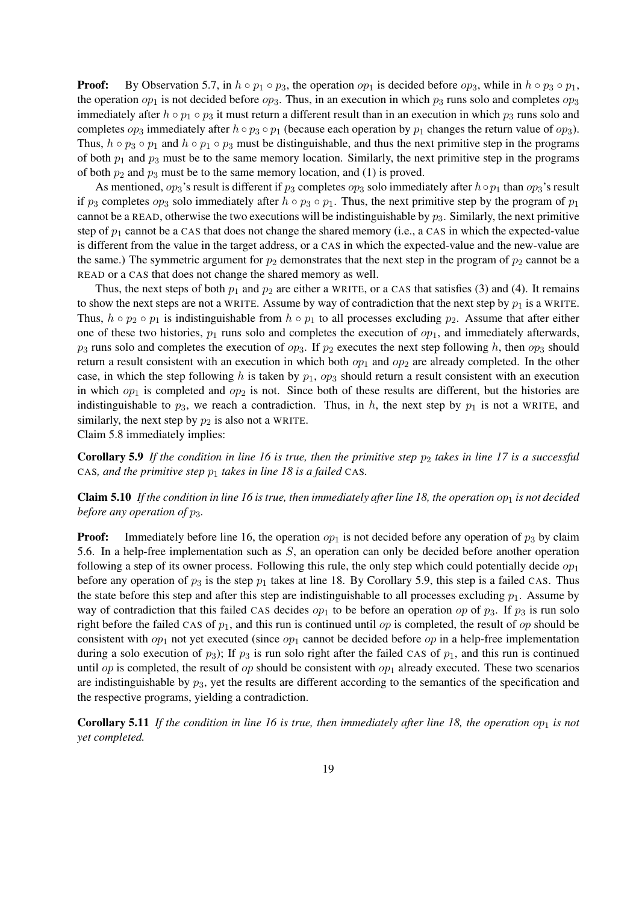**Proof:** By Observation 5.7, in  $h \circ p_1 \circ p_3$ , the operation  $op_1$  is decided before  $op_3$ , while in  $h \circ p_3 \circ p_1$ , the operation  $op_1$  is not decided before  $op_3$ . Thus, in an execution in which  $p_3$  runs solo and completes  $op_3$ immediately after  $h \circ p_1 \circ p_3$  it must return a different result than in an execution in which  $p_3$  runs solo and completes  $op_3$  immediately after  $h \circ p_3 \circ p_1$  (because each operation by  $p_1$  changes the return value of  $op_3$ ). Thus,  $h \circ p_3 \circ p_1$  and  $h \circ p_1 \circ p_3$  must be distinguishable, and thus the next primitive step in the programs of both *p*<sup>1</sup> and *p*<sup>3</sup> must be to the same memory location. Similarly, the next primitive step in the programs of both  $p_2$  and  $p_3$  must be to the same memory location, and (1) is proved.

As mentioned,  $op_3$ 's result is different if  $p_3$  completes  $op_3$  solo immediately after  $h \circ p_1$  than  $op_3$ 's result if  $p_3$  completes  $op_3$  solo immediately after  $h \circ p_3 \circ p_1$ . Thus, the next primitive step by the program of  $p_1$ cannot be a READ, otherwise the two executions will be indistinguishable by *p*3. Similarly, the next primitive step of  $p_1$  cannot be a CAS that does not change the shared memory (i.e., a CAS in which the expected-value is different from the value in the target address, or a CAS in which the expected-value and the new-value are the same.) The symmetric argument for  $p_2$  demonstrates that the next step in the program of  $p_2$  cannot be a READ or a CAS that does not change the shared memory as well.

Thus, the next steps of both  $p_1$  and  $p_2$  are either a WRITE, or a CAS that satisfies (3) and (4). It remains to show the next steps are not a WRITE. Assume by way of contradiction that the next step by  $p_1$  is a WRITE. Thus,  $h \circ p_2 \circ p_1$  is indistinguishable from  $h \circ p_1$  to all processes excluding  $p_2$ . Assume that after either one of these two histories,  $p_1$  runs solo and completes the execution of  $op_1$ , and immediately afterwards, *p*<sup>3</sup> runs solo and completes the execution of *op*3. If *p*<sup>2</sup> executes the next step following *h*, then *op*<sup>3</sup> should return a result consistent with an execution in which both  $op_1$  and  $op_2$  are already completed. In the other case, in which the step following *h* is taken by *p*1, *op*<sup>3</sup> should return a result consistent with an execution in which  $op_1$  is completed and  $op_2$  is not. Since both of these results are different, but the histories are indistinguishable to  $p_3$ , we reach a contradiction. Thus, in h, the next step by  $p_1$  is not a WRITE, and similarly, the next step by  $p_2$  is also not a WRITE.

Claim 5.8 immediately implies:

Corollary 5.9 *If the condition in line 16 is true, then the primitive step p*<sup>2</sup> *takes in line 17 is a successful* CAS*, and the primitive step p*<sup>1</sup> *takes in line 18 is a failed* CAS*.*

**Claim 5.10** If the condition in line 16 is true, then immediately after line 18, the operation  $op_1$  is not decided *before any operation of p*3*.*

**Proof:** Immediately before line 16, the operation  $op_1$  is not decided before any operation of  $p_3$  by claim 5.6. In a help-free implementation such as *S*, an operation can only be decided before another operation following a step of its owner process. Following this rule, the only step which could potentially decide *op*<sup>1</sup> before any operation of  $p_3$  is the step  $p_1$  takes at line 18. By Corollary 5.9, this step is a failed CAS. Thus the state before this step and after this step are indistinguishable to all processes excluding  $p_1$ . Assume by way of contradiction that this failed CAS decides  $op_1$  to be before an operation  $op$  of  $p_3$ . If  $p_3$  is run solo right before the failed CAS of *p*1, and this run is continued until *op* is completed, the result of *op* should be consistent with *op*<sup>1</sup> not yet executed (since *op*<sup>1</sup> cannot be decided before *op* in a help-free implementation during a solo execution of  $p_3$ ); If  $p_3$  is run solo right after the failed CAS of  $p_1$ , and this run is continued until *op* is completed, the result of *op* should be consistent with  $op_1$  already executed. These two scenarios are indistinguishable by  $p_3$ , yet the results are different according to the semantics of the specification and the respective programs, yielding a contradiction.

**Corollary 5.11** If the condition in line 16 is true, then immediately after line 18, the operation  $op_1$  is not *yet completed.*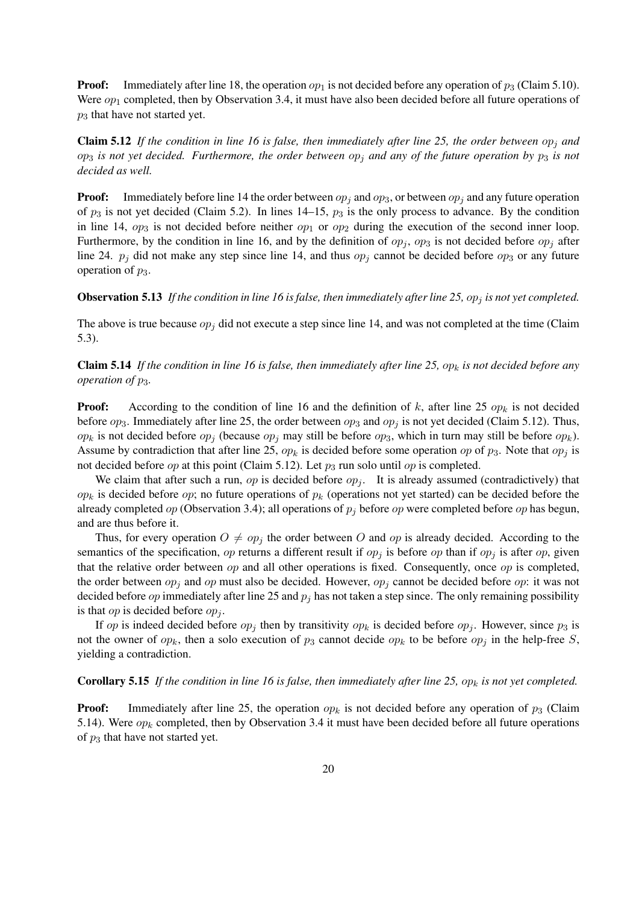**Proof:** Immediately after line 18, the operation  $op_1$  is not decided before any operation of  $p_3$  (Claim 5.10). Were  $op_1$  completed, then by Observation 3.4, it must have also been decided before all future operations of *p*<sup>3</sup> that have not started yet.

**Claim 5.12** If the condition in line 16 is false, then immediately after line 25, the order between  $op_i$  and  $op_3$  *is not yet decided. Furthermore, the order between*  $op_j$  *and any of the future operation by*  $p_3$  *is not decided as well.*

**Proof:** Immediately before line 14 the order between  $op_i$  and  $op_3$ , or between  $op_j$  and any future operation of  $p_3$  is not yet decided (Claim 5.2). In lines 14–15,  $p_3$  is the only process to advance. By the condition in line 14,  $op_3$  is not decided before neither  $op_1$  or  $op_2$  during the execution of the second inner loop. Furthermore, by the condition in line 16, and by the definition of  $op_j$ ,  $op_3$  is not decided before  $op_j$  after line 24.  $p_j$  did not make any step since line 14, and thus  $op_j$  cannot be decided before  $op_3$  or any future operation of  $p_3$ .

#### Observation 5.13 *If the condition in line 16 is false, then immediately after line 25, op<sup>j</sup> is not yet completed.*

The above is true because  $op_j$  did not execute a step since line 14, and was not completed at the time (Claim 5.3).

Claim 5.14 *If the condition in line 16 is false, then immediately after line 25, op<sup>k</sup> is not decided before any operation of p*3*.*

Proof: According to the condition of line 16 and the definition of *k*, after line 25 *op<sup>k</sup>* is not decided before  $op_3$ . Immediately after line 25, the order between  $op_3$  and  $op_j$  is not yet decided (Claim 5.12). Thus, *op<sup>k</sup>* is not decided before *op<sup>j</sup>* (because *op<sup>j</sup>* may still be before *op*3, which in turn may still be before *opk*). Assume by contradiction that after line 25,  $op_k$  is decided before some operation  $op$  of  $p_3$ . Note that  $op_j$  is not decided before *op* at this point (Claim 5.12). Let *p*<sup>3</sup> run solo until *op* is completed.

We claim that after such a run, *op* is decided before  $op_j$ . It is already assumed (contradictively) that  $op<sub>k</sub>$  is decided before  $op$ ; no future operations of  $p<sub>k</sub>$  (operations not yet started) can be decided before the already completed *op* (Observation 3.4); all operations of *p<sup>j</sup>* before *op* were completed before *op* has begun, and are thus before it.

Thus, for every operation  $O \neq op_j$  the order between *O* and *op* is already decided. According to the semantics of the specification, *op* returns a different result if  $op_j$  is before *op* than if  $op_j$  is after *op*, given that the relative order between *op* and all other operations is fixed. Consequently, once *op* is completed, the order between *op<sup>j</sup>* and *op* must also be decided. However, *op<sup>j</sup>* cannot be decided before *op*: it was not decided before  $op$  immediately after line 25 and  $p_j$  has not taken a step since. The only remaining possibility is that *op* is decided before *op<sup>j</sup>* .

If *op* is indeed decided before  $op_j$  then by transitivity  $op_k$  is decided before  $op_j$ . However, since  $p_3$  is not the owner of  $op_k$ , then a solo execution of  $p_3$  cannot decide  $op_k$  to be before  $op_j$  in the help-free *S*, yielding a contradiction.

### Corollary 5.15 *If the condition in line 16 is false, then immediately after line 25, op<sup>k</sup> is not yet completed.*

**Proof:** Immediately after line 25, the operation  $op_k$  is not decided before any operation of  $p_3$  (Claim 5.14). Were  $op_k$  completed, then by Observation 3.4 it must have been decided before all future operations of *p*<sup>3</sup> that have not started yet.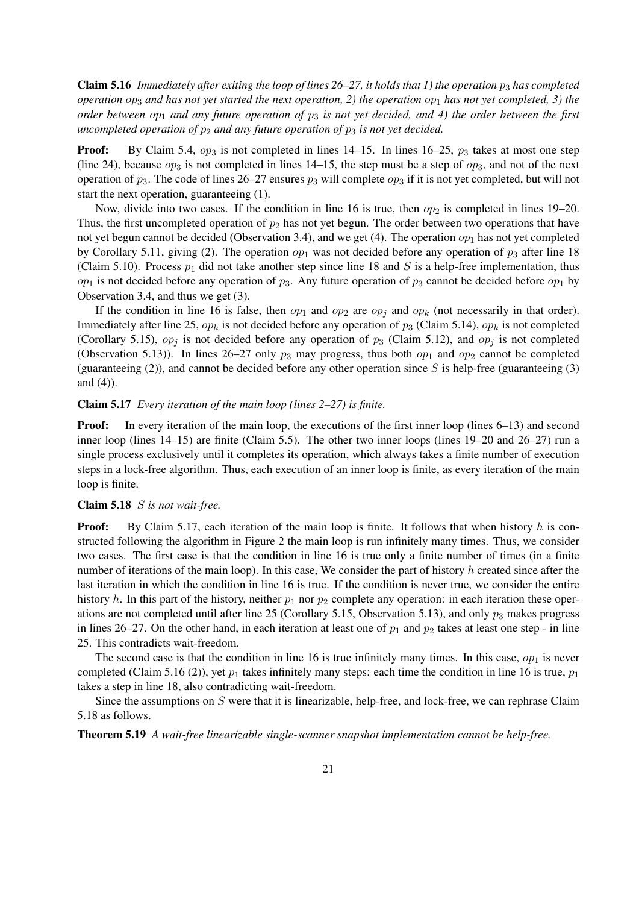**Claim 5.16** *Immediately after exiting the loop of lines 26–27, it holds that 1) the operation*  $p_3$  *has completed operation op*<sup>3</sup> *and has not yet started the next operation, 2) the operation op*<sup>1</sup> *has not yet completed, 3) the order between op*<sup>1</sup> *and any future operation of p*<sup>3</sup> *is not yet decided, and 4) the order between the first uncompleted operation of*  $p_2$  *and any future operation of*  $p_3$  *is not yet decided.* 

**Proof:** By Claim 5.4,  $op_3$  is not completed in lines 14–15. In lines 16–25,  $p_3$  takes at most one step (line 24), because  $op_3$  is not completed in lines 14–15, the step must be a step of  $op_3$ , and not of the next operation of *p*3. The code of lines 26–27 ensures *p*<sup>3</sup> will complete *op*<sup>3</sup> if it is not yet completed, but will not start the next operation, guaranteeing (1).

Now, divide into two cases. If the condition in line 16 is true, then  $op<sub>2</sub>$  is completed in lines 19–20. Thus, the first uncompleted operation of  $p_2$  has not yet begun. The order between two operations that have not yet begun cannot be decided (Observation 3.4), and we get  $(4)$ . The operation  $op_1$  has not yet completed by Corollary 5.11, giving (2). The operation  $op_1$  was not decided before any operation of  $p_3$  after line 18 (Claim 5.10). Process  $p_1$  did not take another step since line 18 and *S* is a help-free implementation, thus  $op_1$  is not decided before any operation of  $p_3$ . Any future operation of  $p_3$  cannot be decided before  $op_1$  by Observation 3.4, and thus we get (3).

If the condition in line 16 is false, then  $op_1$  and  $op_2$  are  $op_j$  and  $op_k$  (not necessarily in that order). Immediately after line 25,  $op_k$  is not decided before any operation of  $p_3$  (Claim 5.14),  $op_k$  is not completed (Corollary 5.15),  $op_j$  is not decided before any operation of  $p_3$  (Claim 5.12), and  $op_j$  is not completed (Observation 5.13)). In lines 26–27 only  $p_3$  may progress, thus both  $op_1$  and  $op_2$  cannot be completed (guaranteeing (2)), and cannot be decided before any other operation since *S* is help-free (guaranteeing (3) and (4)).

## Claim 5.17 *Every iteration of the main loop (lines 2–27) is finite.*

**Proof:** In every iteration of the main loop, the executions of the first inner loop (lines 6–13) and second inner loop (lines 14–15) are finite (Claim 5.5). The other two inner loops (lines 19–20 and 26–27) run a single process exclusively until it completes its operation, which always takes a finite number of execution steps in a lock-free algorithm. Thus, each execution of an inner loop is finite, as every iteration of the main loop is finite.

#### Claim 5.18 *S is not wait-free.*

**Proof:** By Claim 5.17, each iteration of the main loop is finite. It follows that when history h is constructed following the algorithm in Figure 2 the main loop is run infinitely many times. Thus, we consider two cases. The first case is that the condition in line 16 is true only a finite number of times (in a finite number of iterations of the main loop). In this case, We consider the part of history *h* created since after the last iteration in which the condition in line 16 is true. If the condition is never true, we consider the entire history *h*. In this part of the history, neither  $p_1$  nor  $p_2$  complete any operation: in each iteration these operations are not completed until after line 25 (Corollary 5.15, Observation 5.13), and only  $p_3$  makes progress in lines 26–27. On the other hand, in each iteration at least one of  $p_1$  and  $p_2$  takes at least one step - in line 25. This contradicts wait-freedom.

The second case is that the condition in line 16 is true infinitely many times. In this case,  $op_1$  is never completed (Claim 5.16 (2)), yet *p*<sup>1</sup> takes infinitely many steps: each time the condition in line 16 is true, *p*<sup>1</sup> takes a step in line 18, also contradicting wait-freedom.

Since the assumptions on *S* were that it is linearizable, help-free, and lock-free, we can rephrase Claim 5.18 as follows.

Theorem 5.19 *A wait-free linearizable single-scanner snapshot implementation cannot be help-free.*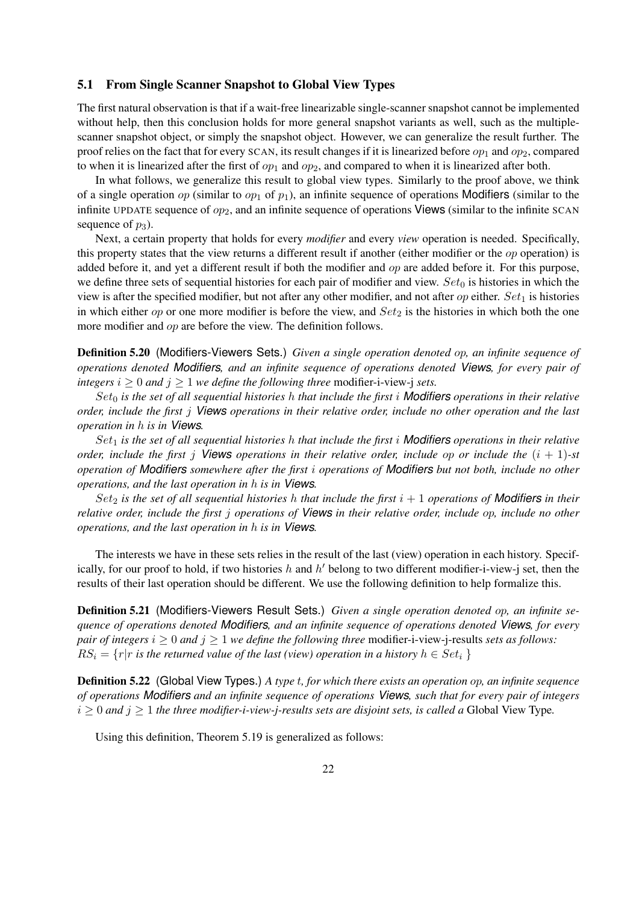### 5.1 From Single Scanner Snapshot to Global View Types

The first natural observation is that if a wait-free linearizable single-scanner snapshot cannot be implemented without help, then this conclusion holds for more general snapshot variants as well, such as the multiplescanner snapshot object, or simply the snapshot object. However, we can generalize the result further. The proof relies on the fact that for every SCAN, its result changes if it is linearized before *op*<sup>1</sup> and *op*2, compared to when it is linearized after the first of  $op_1$  and  $op_2$ , and compared to when it is linearized after both.

In what follows, we generalize this result to global view types. Similarly to the proof above, we think of a single operation *op* (similar to *op*<sub>1</sub> of  $p_1$ ), an infinite sequence of operations **Modifiers** (similar to the infinite UPDATE sequence of *op*2, and an infinite sequence of operations Views (similar to the infinite SCAN sequence of  $p_3$ ).

Next, a certain property that holds for every *modifier* and every *view* operation is needed. Specifically, this property states that the view returns a different result if another (either modifier or the *op* operation) is added before it, and yet a different result if both the modifier and *op* are added before it. For this purpose, we define three sets of sequential histories for each pair of modifier and view. *Set*<sup>0</sup> is histories in which the view is after the specified modifier, but not after any other modifier, and not after *op* either. *Set*<sup>1</sup> is histories in which either  $op$  or one more modifier is before the view, and  $Set_2$  is the histories in which both the one more modifier and *op* are before the view. The definition follows.

Definition 5.20 (Modifiers-Viewers Sets.) *Given a single operation denoted op, an infinite sequence of operations denoted Modifiers, and an infinite sequence of operations denoted Views, for every pair of integers*  $i > 0$  *and*  $j > 1$  *we define the following three* modifier-i-view-j *sets.* 

*Set*<sup>0</sup> *is the set of all sequential histories h that include the first i Modifiers operations in their relative order, include the first j Views operations in their relative order, include no other operation and the last operation in h is in Views.*

*Set*<sup>1</sup> *is the set of all sequential histories h that include the first i Modifiers operations in their relative order, include the first j Views operations in their relative order, include op or include the*  $(i + 1)$ -st *operation of Modifiers somewhere after the first i operations of Modifiers but not both, include no other operations, and the last operation in h is in Views.*

*Set*<sub>2</sub> *is the set of all sequential histories h that include the first*  $i + 1$  *operations of* **Modifiers** *in their relative order, include the first j operations of Views in their relative order, include op, include no other operations, and the last operation in h is in Views.*

The interests we have in these sets relies in the result of the last (view) operation in each history. Specifically, for our proof to hold, if two histories *h* and *h ′* belong to two different modifier-i-view-j set, then the results of their last operation should be different. We use the following definition to help formalize this.

Definition 5.21 (Modifiers-Viewers Result Sets.) *Given a single operation denoted op, an infinite sequence of operations denoted Modifiers, and an infinite sequence of operations denoted Views, for every pair of integers*  $i \geq 0$  *and*  $j \geq 1$  *we define the following three* modifier-i-view-j-results *sets as follows:*  $RS_i = \{r | r \text{ is the returned value of the last (view) operation in a history } h \in Set_i \}$ 

Definition 5.22 (Global View Types.) *A type t, for which there exists an operation op, an infinite sequence of operations Modifiers and an infinite sequence of operations Views, such that for every pair of integers*  $i \geq 0$  *and*  $j \geq 1$  *the three modifier-i-view-j-results sets are disjoint sets, is called a Global View Type.* 

Using this definition, Theorem 5.19 is generalized as follows: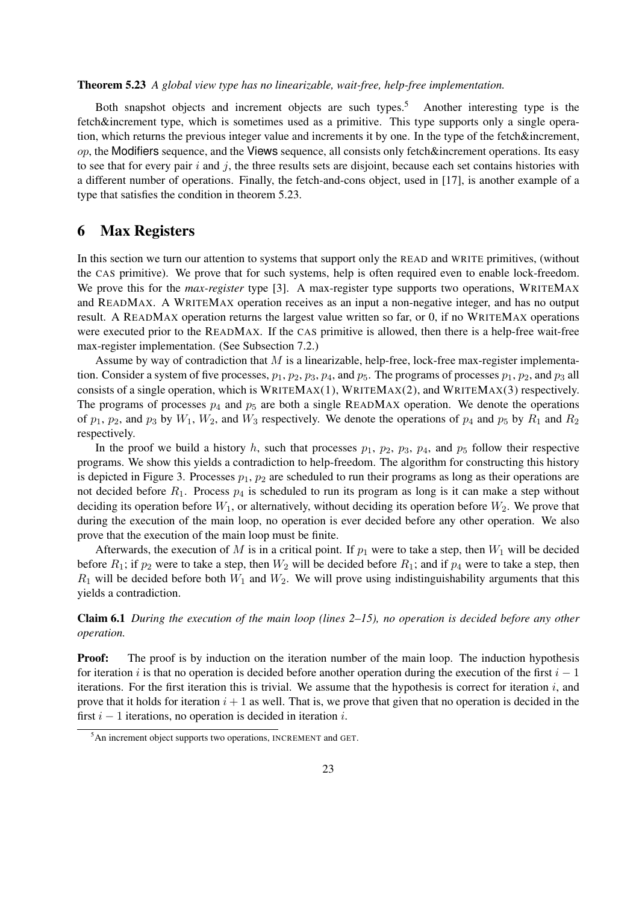## Theorem 5.23 *A global view type has no linearizable, wait-free, help-free implementation.*

Both snapshot objects and increment objects are such types.<sup>5</sup> Another interesting type is the fetch&increment type, which is sometimes used as a primitive. This type supports only a single operation, which returns the previous integer value and increments it by one. In the type of the fetch&increment, *op*, the Modifiers sequence, and the Views sequence, all consists only fetch&increment operations. Its easy to see that for every pair *i* and *j*, the three results sets are disjoint, because each set contains histories with a different number of operations. Finally, the fetch-and-cons object, used in [17], is another example of a type that satisfies the condition in theorem 5.23.

## 6 Max Registers

In this section we turn our attention to systems that support only the READ and WRITE primitives, (without the CAS primitive). We prove that for such systems, help is often required even to enable lock-freedom. We prove this for the *max-register* type [3]. A max-register type supports two operations, WRITEMAX and READMAX. A WRITEMAX operation receives as an input a non-negative integer, and has no output result. A READMAX operation returns the largest value written so far, or 0, if no WRITEMAX operations were executed prior to the READMAX. If the CAS primitive is allowed, then there is a help-free wait-free max-register implementation. (See Subsection 7.2.)

Assume by way of contradiction that *M* is a linearizable, help-free, lock-free max-register implementation. Consider a system of five processes,  $p_1$ ,  $p_2$ ,  $p_3$ ,  $p_4$ , and  $p_5$ . The programs of processes  $p_1$ ,  $p_2$ , and  $p_3$  all consists of a single operation, which is WRITEMAX(1), WRITEMAX(2), and WRITEMAX(3) respectively. The programs of processes  $p_4$  and  $p_5$  are both a single READMAX operation. We denote the operations of  $p_1$ ,  $p_2$ , and  $p_3$  by  $W_1$ ,  $W_2$ , and  $W_3$  respectively. We denote the operations of  $p_4$  and  $p_5$  by  $R_1$  and  $R_2$ respectively.

In the proof we build a history  $h$ , such that processes  $p_1$ ,  $p_2$ ,  $p_3$ ,  $p_4$ , and  $p_5$  follow their respective programs. We show this yields a contradiction to help-freedom. The algorithm for constructing this history is depicted in Figure 3. Processes  $p_1$ ,  $p_2$  are scheduled to run their programs as long as their operations are not decided before  $R_1$ . Process  $p_4$  is scheduled to run its program as long is it can make a step without deciding its operation before  $W_1$ , or alternatively, without deciding its operation before  $W_2$ . We prove that during the execution of the main loop, no operation is ever decided before any other operation. We also prove that the execution of the main loop must be finite.

Afterwards, the execution of *M* is in a critical point. If  $p_1$  were to take a step, then  $W_1$  will be decided before  $R_1$ ; if  $p_2$  were to take a step, then  $W_2$  will be decided before  $R_1$ ; and if  $p_4$  were to take a step, then  $R_1$  will be decided before both  $W_1$  and  $W_2$ . We will prove using indistinguishability arguments that this yields a contradiction.

Claim 6.1 *During the execution of the main loop (lines 2–15), no operation is decided before any other operation.*

**Proof:** The proof is by induction on the iteration number of the main loop. The induction hypothesis for iteration *i* is that no operation is decided before another operation during the execution of the first *i −* 1 iterations. For the first iteration this is trivial. We assume that the hypothesis is correct for iteration *i*, and prove that it holds for iteration  $i + 1$  as well. That is, we prove that given that no operation is decided in the first *i −* 1 iterations, no operation is decided in iteration *i*.

<sup>&</sup>lt;sup>5</sup>An increment object supports two operations, INCREMENT and GET.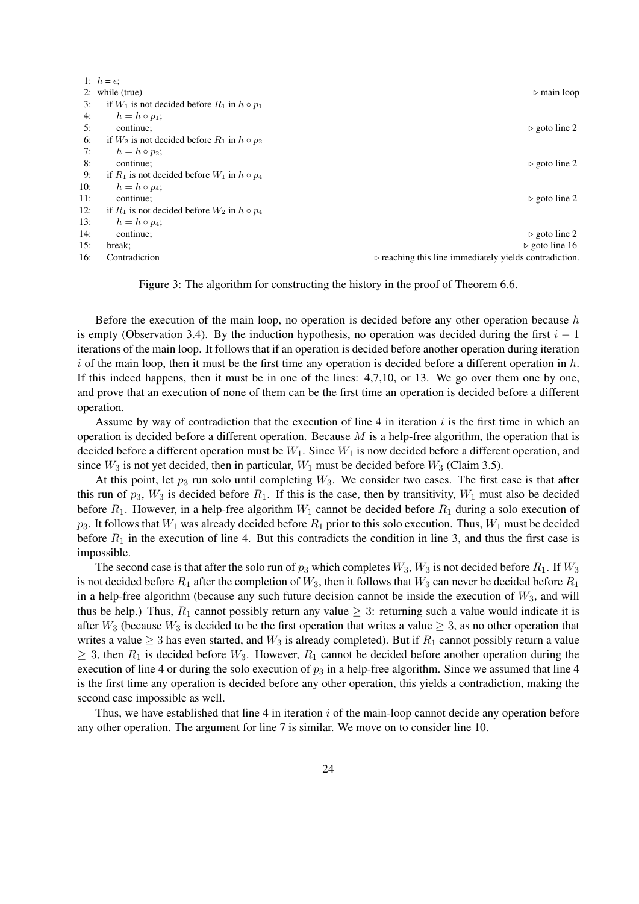|     | 1: $h = \epsilon$ ;                                   |                                                                       |
|-----|-------------------------------------------------------|-----------------------------------------------------------------------|
|     | 2: while (true)                                       | $\triangleright$ main loop                                            |
| 3:  | if $W_1$ is not decided before $R_1$ in $h \circ p_1$ |                                                                       |
| 4:  | $h = h \circ p_1$ ;                                   |                                                                       |
| 5:  | continue:                                             | $\triangleright$ goto line 2                                          |
| 6:  | if $W_2$ is not decided before $R_1$ in $h \circ p_2$ |                                                                       |
| 7:  | $h = h \circ p_2$ ;                                   |                                                                       |
| 8:  | continue:                                             | $\triangleright$ goto line 2                                          |
| 9:  | if $R_1$ is not decided before $W_1$ in $h \circ p_4$ |                                                                       |
| 10: | $h = h \circ p_4$ ;                                   |                                                                       |
| 11: | continue:                                             | $\triangleright$ goto line 2                                          |
| 12: | if $R_1$ is not decided before $W_2$ in $h \circ p_4$ |                                                                       |
| 13: | $h = h \circ p_4;$                                    |                                                                       |
| 14: | continue:                                             | $\triangleright$ goto line 2                                          |
| 15: | break;                                                | $\triangleright$ goto line 16                                         |
| 16: | Contradiction                                         | $\triangleright$ reaching this line immediately yields contradiction. |
|     |                                                       |                                                                       |

Figure 3: The algorithm for constructing the history in the proof of Theorem 6.6.

Before the execution of the main loop, no operation is decided before any other operation because *h* is empty (Observation 3.4). By the induction hypothesis, no operation was decided during the first *i −* 1 iterations of the main loop. It follows that if an operation is decided before another operation during iteration *i* of the main loop, then it must be the first time any operation is decided before a different operation in *h*. If this indeed happens, then it must be in one of the lines: 4,7,10, or 13. We go over them one by one, and prove that an execution of none of them can be the first time an operation is decided before a different operation.

Assume by way of contradiction that the execution of line 4 in iteration *i* is the first time in which an operation is decided before a different operation. Because *M* is a help-free algorithm, the operation that is decided before a different operation must be *W*1. Since *W*<sup>1</sup> is now decided before a different operation, and since  $W_3$  is not yet decided, then in particular,  $W_1$  must be decided before  $W_3$  (Claim 3.5).

At this point, let  $p_3$  run solo until completing  $W_3$ . We consider two cases. The first case is that after this run of  $p_3$ ,  $W_3$  is decided before  $R_1$ . If this is the case, then by transitivity,  $W_1$  must also be decided before  $R_1$ . However, in a help-free algorithm  $W_1$  cannot be decided before  $R_1$  during a solo execution of  $p_3$ . It follows that  $W_1$  was already decided before  $R_1$  prior to this solo execution. Thus,  $W_1$  must be decided before  $R_1$  in the execution of line 4. But this contradicts the condition in line 3, and thus the first case is impossible.

The second case is that after the solo run of  $p_3$  which completes  $W_3$ ,  $W_3$  is not decided before  $R_1$ . If  $W_3$ is not decided before  $R_1$  after the completion of  $W_3$ , then it follows that  $W_3$  can never be decided before  $R_1$ in a help-free algorithm (because any such future decision cannot be inside the execution of  $W_3$ , and will thus be help.) Thus,  $R_1$  cannot possibly return any value  $\geq 3$ : returning such a value would indicate it is after  $W_3$  (because  $W_3$  is decided to be the first operation that writes a value  $\geq 3$ , as no other operation that writes a value  $\geq$  3 has even started, and  $W_3$  is already completed). But if  $R_1$  cannot possibly return a value  $\geq$  3, then  $R_1$  is decided before  $W_3$ . However,  $R_1$  cannot be decided before another operation during the execution of line 4 or during the solo execution of  $p_3$  in a help-free algorithm. Since we assumed that line 4 is the first time any operation is decided before any other operation, this yields a contradiction, making the second case impossible as well.

Thus, we have established that line 4 in iteration *i* of the main-loop cannot decide any operation before any other operation. The argument for line 7 is similar. We move on to consider line 10.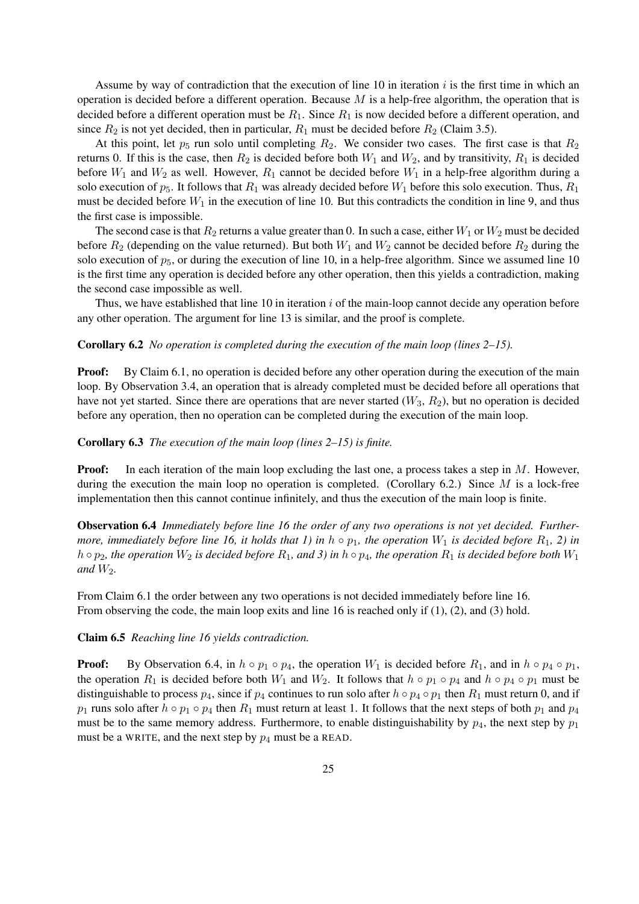Assume by way of contradiction that the execution of line 10 in iteration *i* is the first time in which an operation is decided before a different operation. Because *M* is a help-free algorithm, the operation that is decided before a different operation must be *R*1. Since *R*<sup>1</sup> is now decided before a different operation, and since  $R_2$  is not yet decided, then in particular,  $R_1$  must be decided before  $R_2$  (Claim 3.5).

At this point, let  $p_5$  run solo until completing  $R_2$ . We consider two cases. The first case is that  $R_2$ returns 0. If this is the case, then  $R_2$  is decided before both  $W_1$  and  $W_2$ , and by transitivity,  $R_1$  is decided before  $W_1$  and  $W_2$  as well. However,  $R_1$  cannot be decided before  $W_1$  in a help-free algorithm during a solo execution of  $p_5$ . It follows that  $R_1$  was already decided before  $W_1$  before this solo execution. Thus,  $R_1$ must be decided before  $W_1$  in the execution of line 10. But this contradicts the condition in line 9, and thus the first case is impossible.

The second case is that  $R_2$  returns a value greater than 0. In such a case, either  $W_1$  or  $W_2$  must be decided before  $R_2$  (depending on the value returned). But both  $W_1$  and  $W_2$  cannot be decided before  $R_2$  during the solo execution of  $p_5$ , or during the execution of line 10, in a help-free algorithm. Since we assumed line 10 is the first time any operation is decided before any other operation, then this yields a contradiction, making the second case impossible as well.

Thus, we have established that line 10 in iteration *i* of the main-loop cannot decide any operation before any other operation. The argument for line 13 is similar, and the proof is complete.

Corollary 6.2 *No operation is completed during the execution of the main loop (lines 2–15).*

**Proof:** By Claim 6.1, no operation is decided before any other operation during the execution of the main loop. By Observation 3.4, an operation that is already completed must be decided before all operations that have not yet started. Since there are operations that are never started  $(W_3, R_2)$ , but no operation is decided before any operation, then no operation can be completed during the execution of the main loop.

Corollary 6.3 *The execution of the main loop (lines 2–15) is finite.*

**Proof:** In each iteration of the main loop excluding the last one, a process takes a step in M. However, during the execution the main loop no operation is completed. (Corollary 6.2.) Since *M* is a lock-free implementation then this cannot continue infinitely, and thus the execution of the main loop is finite.

Observation 6.4 *Immediately before line 16 the order of any two operations is not yet decided. Furthermore, immediately before line 16, it holds that 1) in*  $h \circ p_1$ *, the operation*  $W_1$  *is decided before*  $R_1$ *, 2) in h*  $\circ$  *p*<sub>2</sub>*, the operation*  $W_2$  *is decided before*  $R_1$ *, and* 3) *in h*  $\circ$  *p*<sub>4</sub>*, the operation*  $R_1$  *is decided before both*  $W_1$ *and*  $W_2$ *.* 

From Claim 6.1 the order between any two operations is not decided immediately before line 16. From observing the code, the main loop exits and line 16 is reached only if (1), (2), and (3) hold.

Claim 6.5 *Reaching line 16 yields contradiction.*

**Proof:** By Observation 6.4, in  $h \circ p_1 \circ p_4$ , the operation  $W_1$  is decided before  $R_1$ , and in  $h \circ p_4 \circ p_1$ , the operation  $R_1$  is decided before both  $W_1$  and  $W_2$ . It follows that  $h \circ p_1 \circ p_4$  and  $h \circ p_4 \circ p_1$  must be distinguishable to process  $p_4$ , since if  $p_4$  continues to run solo after  $h \circ p_4 \circ p_1$  then  $R_1$  must return 0, and if *p*<sub>1</sub> runs solo after *h*  $\circ$  *p*<sub>1</sub>  $\circ$  *p*<sub>4</sub> then *R*<sub>1</sub> must return at least 1. It follows that the next steps of both *p*<sub>1</sub> and *p*<sub>4</sub> must be to the same memory address. Furthermore, to enable distinguishability by  $p_4$ , the next step by  $p_1$ must be a WRITE, and the next step by *p*<sup>4</sup> must be a READ.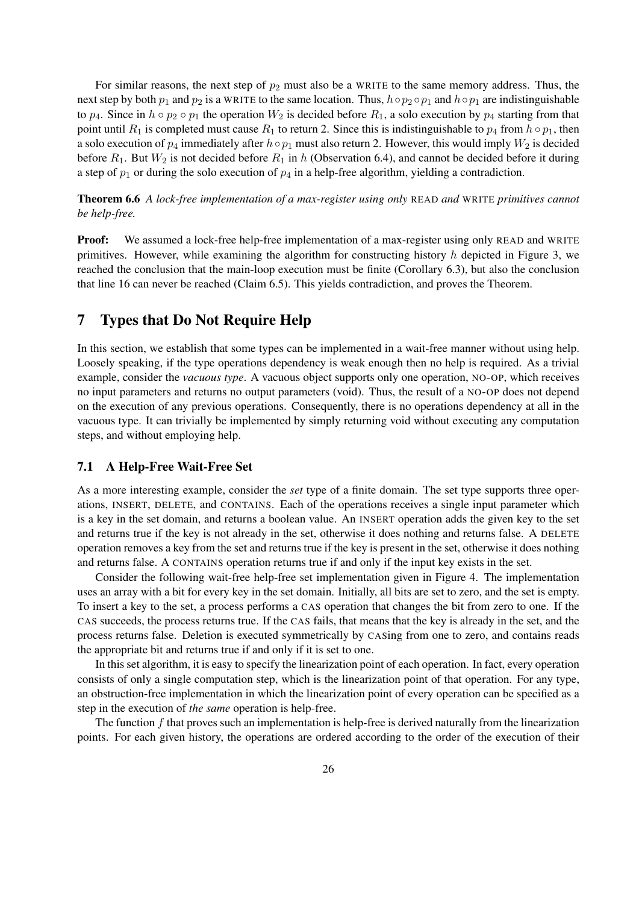For similar reasons, the next step of  $p_2$  must also be a WRITE to the same memory address. Thus, the next step by both  $p_1$  and  $p_2$  is a WRITE to the same location. Thus,  $h \circ p_2 \circ p_1$  and  $h \circ p_1$  are indistinguishable to  $p_4$ . Since in  $h \circ p_2 \circ p_1$  the operation  $W_2$  is decided before  $R_1$ , a solo execution by  $p_4$  starting from that point until  $R_1$  is completed must cause  $R_1$  to return 2. Since this is indistinguishable to  $p_4$  from  $h \circ p_1$ , then a solo execution of  $p_4$  immediately after  $h \circ p_1$  must also return 2. However, this would imply  $W_2$  is decided before  $R_1$ . But  $W_2$  is not decided before  $R_1$  in *h* (Observation 6.4), and cannot be decided before it during a step of  $p_1$  or during the solo execution of  $p_4$  in a help-free algorithm, yielding a contradiction.

Theorem 6.6 *A lock-free implementation of a max-register using only* READ *and* WRITE *primitives cannot be help-free.*

**Proof:** We assumed a lock-free help-free implementation of a max-register using only READ and WRITE primitives. However, while examining the algorithm for constructing history *h* depicted in Figure 3, we reached the conclusion that the main-loop execution must be finite (Corollary 6.3), but also the conclusion that line 16 can never be reached (Claim 6.5). This yields contradiction, and proves the Theorem.

## 7 Types that Do Not Require Help

In this section, we establish that some types can be implemented in a wait-free manner without using help. Loosely speaking, if the type operations dependency is weak enough then no help is required. As a trivial example, consider the *vacuous type*. A vacuous object supports only one operation, NO-OP, which receives no input parameters and returns no output parameters (void). Thus, the result of a NO-OP does not depend on the execution of any previous operations. Consequently, there is no operations dependency at all in the vacuous type. It can trivially be implemented by simply returning void without executing any computation steps, and without employing help.

## 7.1 A Help-Free Wait-Free Set

As a more interesting example, consider the *set* type of a finite domain. The set type supports three operations, INSERT, DELETE, and CONTAINS. Each of the operations receives a single input parameter which is a key in the set domain, and returns a boolean value. An INSERT operation adds the given key to the set and returns true if the key is not already in the set, otherwise it does nothing and returns false. A DELETE operation removes a key from the set and returns true if the key is present in the set, otherwise it does nothing and returns false. A CONTAINS operation returns true if and only if the input key exists in the set.

Consider the following wait-free help-free set implementation given in Figure 4. The implementation uses an array with a bit for every key in the set domain. Initially, all bits are set to zero, and the set is empty. To insert a key to the set, a process performs a CAS operation that changes the bit from zero to one. If the CAS succeeds, the process returns true. If the CAS fails, that means that the key is already in the set, and the process returns false. Deletion is executed symmetrically by CASing from one to zero, and contains reads the appropriate bit and returns true if and only if it is set to one.

In this set algorithm, it is easy to specify the linearization point of each operation. In fact, every operation consists of only a single computation step, which is the linearization point of that operation. For any type, an obstruction-free implementation in which the linearization point of every operation can be specified as a step in the execution of *the same* operation is help-free.

The function *f* that proves such an implementation is help-free is derived naturally from the linearization points. For each given history, the operations are ordered according to the order of the execution of their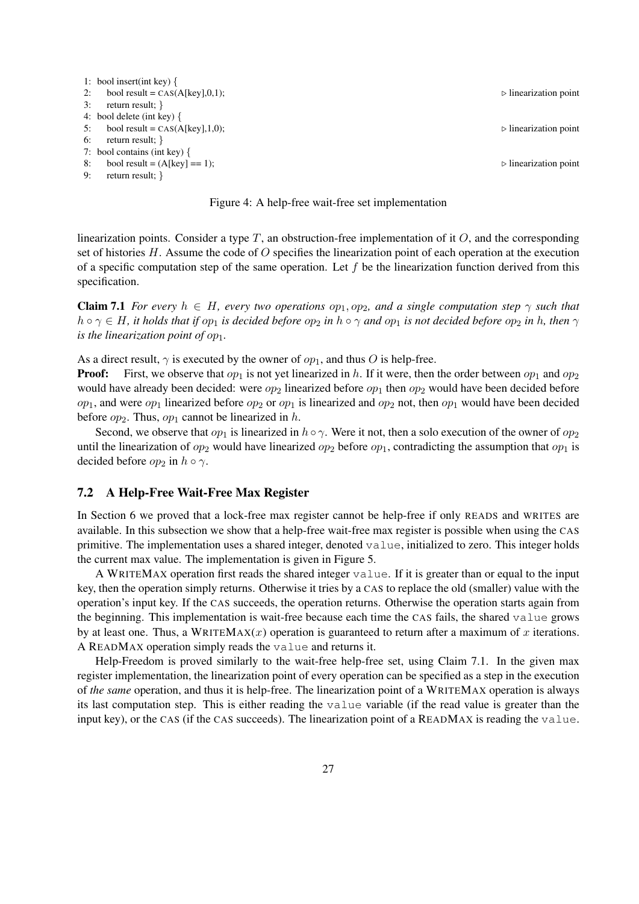



linearization points. Consider a type *T*, an obstruction-free implementation of it *O*, and the corresponding set of histories *H*. Assume the code of *O* specifies the linearization point of each operation at the execution of a specific computation step of the same operation. Let *f* be the linearization function derived from this specification.

**Claim 7.1** *For every*  $h \in H$ *, every two operations*  $op_1, op_2$ *, and a single computation step*  $\gamma$  *such that*  $h\circ\gamma\in H$ , it holds that if  $op_1$  is decided before  $op_2$  in  $h\circ\gamma$  and  $op_1$  is not decided before  $op_2$  in h, then  $\gamma$ *is the linearization point of*  $op_1$ *.* 

As a direct result,  $\gamma$  is executed by the owner of  $op_1$ , and thus *O* is help-free.

**Proof:** First, we observe that  $op_1$  is not yet linearized in h. If it were, then the order between  $op_1$  and  $op_2$ would have already been decided: were  $op_2$  linearized before  $op_1$  then  $op_2$  would have been decided before  $op_1$ , and were  $op_1$  linearized before  $op_2$  or  $op_1$  is linearized and  $op_2$  not, then  $op_1$  would have been decided before  $op_2$ . Thus,  $op_1$  cannot be linearized in *h*.

Second, we observe that  $op_1$  is linearized in  $h \circ \gamma$ . Were it not, then a solo execution of the owner of  $op_2$ until the linearization of  $op_2$  would have linearized  $op_2$  before  $op_1$ , contradicting the assumption that  $op_1$  is decided before  $op_2$  in  $h \circ \gamma$ .

## 7.2 A Help-Free Wait-Free Max Register

In Section 6 we proved that a lock-free max register cannot be help-free if only READS and WRITES are available. In this subsection we show that a help-free wait-free max register is possible when using the CAS primitive. The implementation uses a shared integer, denoted value, initialized to zero. This integer holds the current max value. The implementation is given in Figure 5.

A WRITEMAX operation first reads the shared integer value. If it is greater than or equal to the input key, then the operation simply returns. Otherwise it tries by a CAS to replace the old (smaller) value with the operation's input key. If the CAS succeeds, the operation returns. Otherwise the operation starts again from the beginning. This implementation is wait-free because each time the CAS fails, the shared value grows by at least one. Thus, a WRITEMAX(*x*) operation is guaranteed to return after a maximum of *x* iterations. A READMAX operation simply reads the value and returns it.

Help-Freedom is proved similarly to the wait-free help-free set, using Claim 7.1. In the given max register implementation, the linearization point of every operation can be specified as a step in the execution of *the same* operation, and thus it is help-free. The linearization point of a WRITEMAX operation is always its last computation step. This is either reading the value variable (if the read value is greater than the input key), or the CAS (if the CAS succeeds). The linearization point of a READMAX is reading the value.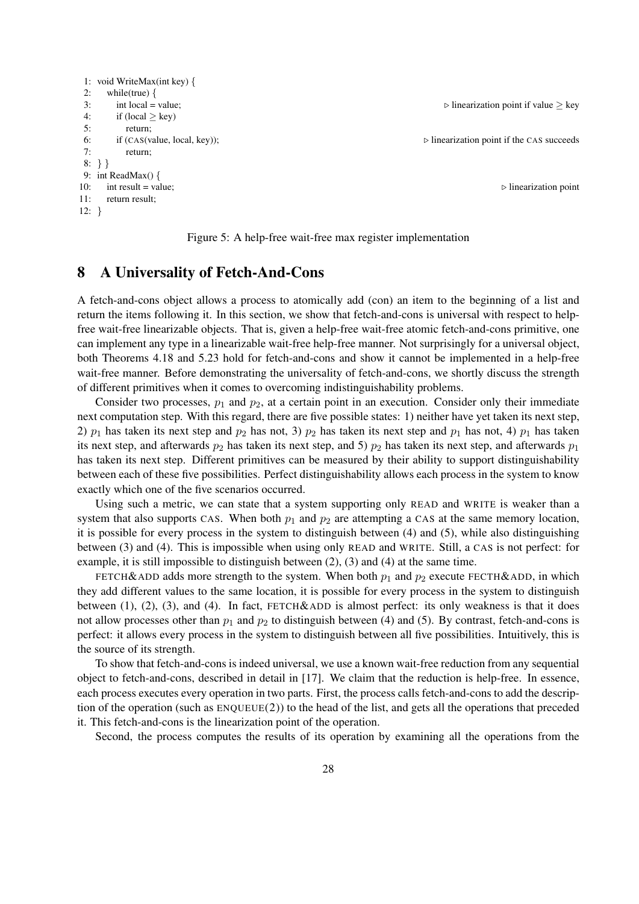```
1: void WriteMax(int key) {
2: while(true) {
3: int local = value; \rho linearization point if value ≥ key
4: if (local \geq key)5: return;
6: if (CAS(value, local, key)); ▷ linearization point if the CAS succeeds
7: return;
8: } }
9: int ReadMax() {
10: int result = value; \rho linearization point
11: return result;
12: }
```


## 8 A Universality of Fetch-And-Cons

A fetch-and-cons object allows a process to atomically add (con) an item to the beginning of a list and return the items following it. In this section, we show that fetch-and-cons is universal with respect to helpfree wait-free linearizable objects. That is, given a help-free wait-free atomic fetch-and-cons primitive, one can implement any type in a linearizable wait-free help-free manner. Not surprisingly for a universal object, both Theorems 4.18 and 5.23 hold for fetch-and-cons and show it cannot be implemented in a help-free wait-free manner. Before demonstrating the universality of fetch-and-cons, we shortly discuss the strength of different primitives when it comes to overcoming indistinguishability problems.

Consider two processes,  $p_1$  and  $p_2$ , at a certain point in an execution. Consider only their immediate next computation step. With this regard, there are five possible states: 1) neither have yet taken its next step, 2)  $p_1$  has taken its next step and  $p_2$  has not, 3)  $p_2$  has taken its next step and  $p_1$  has not, 4)  $p_1$  has taken its next step, and afterwards  $p_2$  has taken its next step, and 5)  $p_2$  has taken its next step, and afterwards  $p_1$ has taken its next step. Different primitives can be measured by their ability to support distinguishability between each of these five possibilities. Perfect distinguishability allows each process in the system to know exactly which one of the five scenarios occurred.

Using such a metric, we can state that a system supporting only READ and WRITE is weaker than a system that also supports CAS. When both  $p_1$  and  $p_2$  are attempting a CAS at the same memory location, it is possible for every process in the system to distinguish between (4) and (5), while also distinguishing between (3) and (4). This is impossible when using only READ and WRITE. Still, a CAS is not perfect: for example, it is still impossible to distinguish between (2), (3) and (4) at the same time.

FETCH&ADD adds more strength to the system. When both  $p_1$  and  $p_2$  execute FECTH&ADD, in which they add different values to the same location, it is possible for every process in the system to distinguish between (1), (2), (3), and (4). In fact,  $FETCH\&ADD$  is almost perfect: its only weakness is that it does not allow processes other than  $p_1$  and  $p_2$  to distinguish between (4) and (5). By contrast, fetch-and-cons is perfect: it allows every process in the system to distinguish between all five possibilities. Intuitively, this is the source of its strength.

To show that fetch-and-cons is indeed universal, we use a known wait-free reduction from any sequential object to fetch-and-cons, described in detail in [17]. We claim that the reduction is help-free. In essence, each process executes every operation in two parts. First, the process calls fetch-and-cons to add the description of the operation (such as  $ENQUEUE(2)$ ) to the head of the list, and gets all the operations that preceded it. This fetch-and-cons is the linearization point of the operation.

Second, the process computes the results of its operation by examining all the operations from the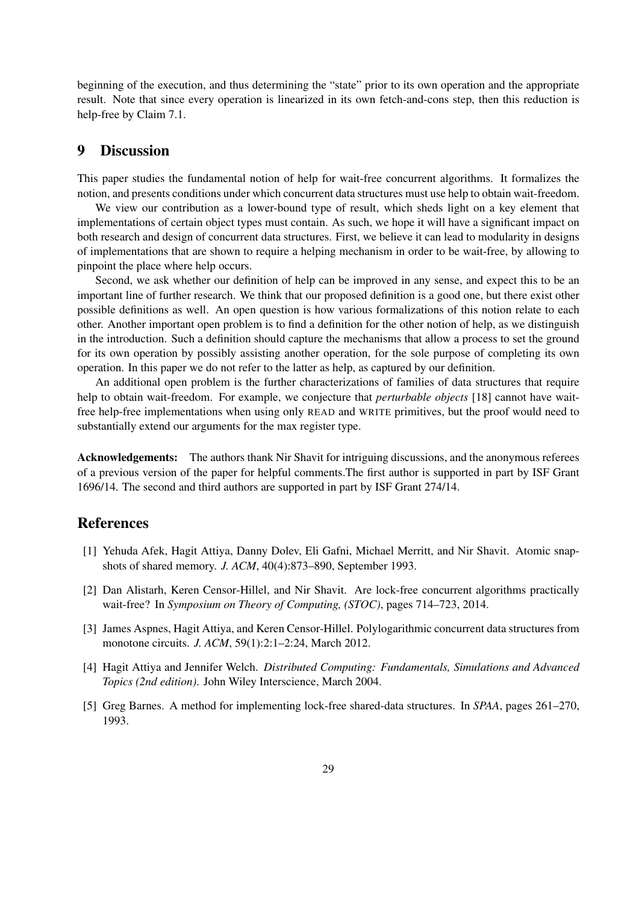beginning of the execution, and thus determining the "state" prior to its own operation and the appropriate result. Note that since every operation is linearized in its own fetch-and-cons step, then this reduction is help-free by Claim 7.1.

## 9 Discussion

This paper studies the fundamental notion of help for wait-free concurrent algorithms. It formalizes the notion, and presents conditions under which concurrent data structures must use help to obtain wait-freedom.

We view our contribution as a lower-bound type of result, which sheds light on a key element that implementations of certain object types must contain. As such, we hope it will have a significant impact on both research and design of concurrent data structures. First, we believe it can lead to modularity in designs of implementations that are shown to require a helping mechanism in order to be wait-free, by allowing to pinpoint the place where help occurs.

Second, we ask whether our definition of help can be improved in any sense, and expect this to be an important line of further research. We think that our proposed definition is a good one, but there exist other possible definitions as well. An open question is how various formalizations of this notion relate to each other. Another important open problem is to find a definition for the other notion of help, as we distinguish in the introduction. Such a definition should capture the mechanisms that allow a process to set the ground for its own operation by possibly assisting another operation, for the sole purpose of completing its own operation. In this paper we do not refer to the latter as help, as captured by our definition.

An additional open problem is the further characterizations of families of data structures that require help to obtain wait-freedom. For example, we conjecture that *perturbable objects* [18] cannot have waitfree help-free implementations when using only READ and WRITE primitives, but the proof would need to substantially extend our arguments for the max register type.

Acknowledgements: The authors thank Nir Shavit for intriguing discussions, and the anonymous referees of a previous version of the paper for helpful comments.The first author is supported in part by ISF Grant 1696/14. The second and third authors are supported in part by ISF Grant 274/14.

## References

- [1] Yehuda Afek, Hagit Attiya, Danny Dolev, Eli Gafni, Michael Merritt, and Nir Shavit. Atomic snapshots of shared memory. *J. ACM*, 40(4):873–890, September 1993.
- [2] Dan Alistarh, Keren Censor-Hillel, and Nir Shavit. Are lock-free concurrent algorithms practically wait-free? In *Symposium on Theory of Computing, (STOC)*, pages 714–723, 2014.
- [3] James Aspnes, Hagit Attiya, and Keren Censor-Hillel. Polylogarithmic concurrent data structures from monotone circuits. *J. ACM*, 59(1):2:1–2:24, March 2012.
- [4] Hagit Attiya and Jennifer Welch. *Distributed Computing: Fundamentals, Simulations and Advanced Topics (2nd edition)*. John Wiley Interscience, March 2004.
- [5] Greg Barnes. A method for implementing lock-free shared-data structures. In *SPAA*, pages 261–270, 1993.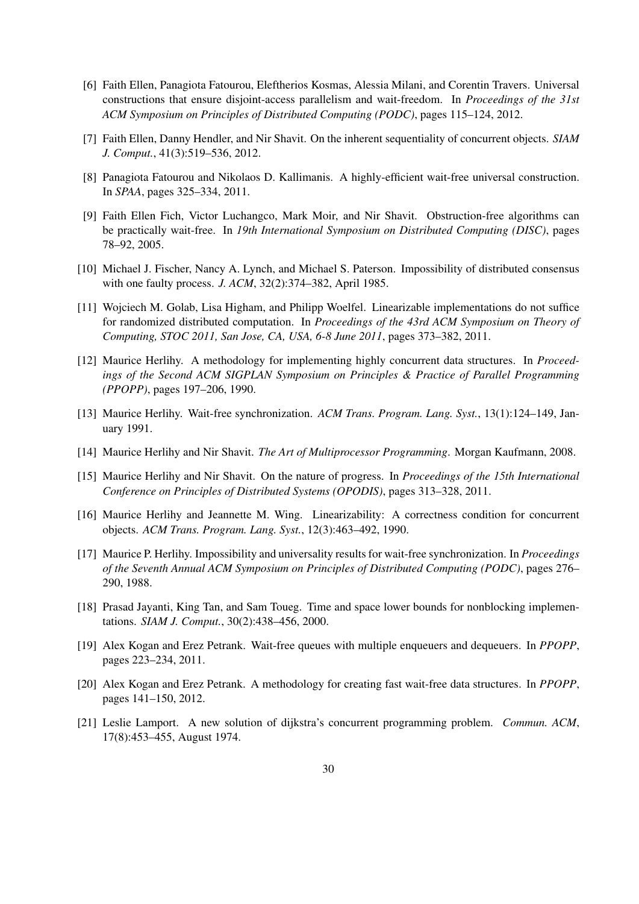- [6] Faith Ellen, Panagiota Fatourou, Eleftherios Kosmas, Alessia Milani, and Corentin Travers. Universal constructions that ensure disjoint-access parallelism and wait-freedom. In *Proceedings of the 31st ACM Symposium on Principles of Distributed Computing (PODC)*, pages 115–124, 2012.
- [7] Faith Ellen, Danny Hendler, and Nir Shavit. On the inherent sequentiality of concurrent objects. *SIAM J. Comput.*, 41(3):519–536, 2012.
- [8] Panagiota Fatourou and Nikolaos D. Kallimanis. A highly-efficient wait-free universal construction. In *SPAA*, pages 325–334, 2011.
- [9] Faith Ellen Fich, Victor Luchangco, Mark Moir, and Nir Shavit. Obstruction-free algorithms can be practically wait-free. In *19th International Symposium on Distributed Computing (DISC)*, pages 78–92, 2005.
- [10] Michael J. Fischer, Nancy A. Lynch, and Michael S. Paterson. Impossibility of distributed consensus with one faulty process. *J. ACM*, 32(2):374–382, April 1985.
- [11] Wojciech M. Golab, Lisa Higham, and Philipp Woelfel. Linearizable implementations do not suffice for randomized distributed computation. In *Proceedings of the 43rd ACM Symposium on Theory of Computing, STOC 2011, San Jose, CA, USA, 6-8 June 2011*, pages 373–382, 2011.
- [12] Maurice Herlihy. A methodology for implementing highly concurrent data structures. In *Proceedings of the Second ACM SIGPLAN Symposium on Principles & Practice of Parallel Programming (PPOPP)*, pages 197–206, 1990.
- [13] Maurice Herlihy. Wait-free synchronization. *ACM Trans. Program. Lang. Syst.*, 13(1):124–149, January 1991.
- [14] Maurice Herlihy and Nir Shavit. *The Art of Multiprocessor Programming*. Morgan Kaufmann, 2008.
- [15] Maurice Herlihy and Nir Shavit. On the nature of progress. In *Proceedings of the 15th International Conference on Principles of Distributed Systems (OPODIS)*, pages 313–328, 2011.
- [16] Maurice Herlihy and Jeannette M. Wing. Linearizability: A correctness condition for concurrent objects. *ACM Trans. Program. Lang. Syst.*, 12(3):463–492, 1990.
- [17] Maurice P. Herlihy. Impossibility and universality results for wait-free synchronization. In *Proceedings of the Seventh Annual ACM Symposium on Principles of Distributed Computing (PODC)*, pages 276– 290, 1988.
- [18] Prasad Jayanti, King Tan, and Sam Toueg. Time and space lower bounds for nonblocking implementations. *SIAM J. Comput.*, 30(2):438–456, 2000.
- [19] Alex Kogan and Erez Petrank. Wait-free queues with multiple enqueuers and dequeuers. In *PPOPP*, pages 223–234, 2011.
- [20] Alex Kogan and Erez Petrank. A methodology for creating fast wait-free data structures. In *PPOPP*, pages 141–150, 2012.
- [21] Leslie Lamport. A new solution of dijkstra's concurrent programming problem. *Commun. ACM*, 17(8):453–455, August 1974.